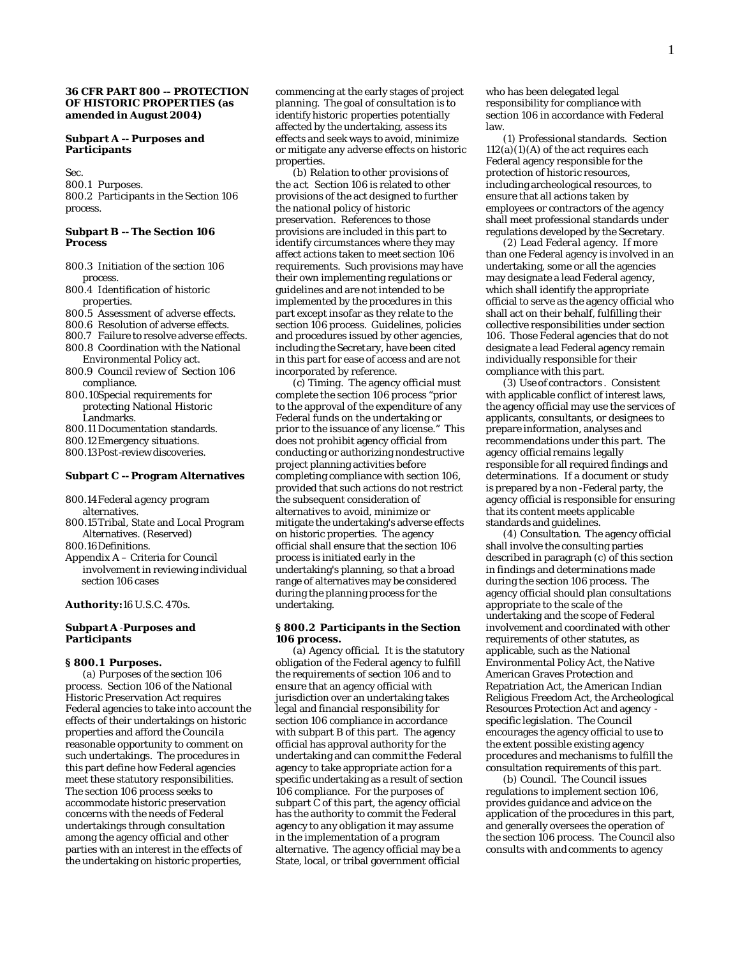## **36 CFR PART 800 -- PROTECTION OF HISTORIC PROPERTIES (as amended in August 2004)**

# **Subpart A -- Purposes and Participants**

Sec.

800.1 Purposes.

800.2 Participants in the Section 106 process.

## **Subpart B -- The Section 106 Process**

- 800.3 Initiation of the section 106 process.
- 800.4 Identification of historic properties.
- 800.5 Assessment of adverse effects.
- 800.6 Resolution of adverse effects.
- 800.7 Failure to resolve adverse effects.
- 800.8 Coordination with the National Environmental Policy act.
- 800.9 Council review of Section 106 compliance.
- 800.10Special requirements for protecting National Historic Landmarks.
- 800.11 Documentation standards.
- 800.12Emergency situations.
- 800.13Post-review discoveries.

# **Subpart C -- Program Alternatives**

- 800.14Federal agency program alternatives.
- 800.15Tribal, State and Local Program Alternatives. (Reserved)

800.16Definitions.

Appendix A – Criteria for Council involvement in reviewing individual section 106 cases

**Authority:** 16 U.S.C. 470s.

# **Subpart A** -**Purposes and Participants**

### **§ 800.1 Purposes.**

(a) *Purposes of the section 106 process*. Section 106 of the National Historic Preservation Act requires Federal agencies to take into account the effects of their undertakings on historic properties and afford the Councila reasonable opportunity to comment on such undertakings. The procedures in this part define how Federal agencies meet these statutory responsibilities. The section 106 process seeks to accommodate historic preservation concerns with the needs of Federal undertakings through consultation among the agency official and other parties with an interest in the effects of the undertaking on historic properties,

commencing at the early stages of project planning. The goal of consultation is to identify historic properties potentially affected by the undertaking, assess its effects and seek ways to avoid, minimize or mitigate any adverse effects on historic properties.

(b) *Relation to other provisions of the act*.Section 106 is related to other provisions of the act designed to further the national policy of historic preservation. References to those provisions are included in this part to identify circumstances where they may affect actions taken to meet section 106 requirements. Such provisions may have their own implementing regulations or guidelines and are not intended to be implemented by the procedures in this part except insofar as they relate to the section 106 process. Guidelines, policies and procedures issued by other agencies, including the Secretary, have been cited in this part for ease of access and are not incorporated by reference.

(c) *Timing*. The agency official must complete the section 106 process "prior to the approval of the expenditure of any Federal funds on the undertaking or prior to the issuance of any license." This does not prohibit agency official from conducting or authorizing nondestructive project planning activities before completing compliance with section 106, provided that such actions do not restrict the subsequent consideration of alternatives to avoid, minimize or mitigate the undertaking's adverse effects on historic properties. The agency official shall ensure that the section 106 process is initiated early in the undertaking's planning, so that a broad range of alternatives may be considered during the planning process for the undertaking.

# **§ 800.2 Participants in the Section 106 process.**

(a) *Agency official*. It is the statutory obligation of the Federal agency to fulfill the requirements of section 106 and to ensure that an agency official with jurisdiction over an undertaking takes legal and financial responsibility for section 106 compliance in accordance with subpart B of this part. The agency official has approval authority for the undertaking and can commit the Federal agency to take appropriate action for a specific undertaking as a result of section 106 compliance. For the purposes of subpart C of this part, the agency official has the authority to commit the Federal agency to any obligation it may assume in the implementation of a program alternative. The agency official may be a State, local, or tribal government official

who has been delegated legal responsibility for compliance with section 106 in accordance with Federal law.

(1) *Professional standards*. Section  $112(a)(1)(A)$  of the act requires each Federal agency responsible for the protection of historic resources, including archeological resources, to ensure that all actions taken by employees or contractors of the agency shall meet professional standards under regulations developed by the Secretary.

(2) *Lead Federal agency*. If more than one Federal agency is involved in an undertaking, some or all the agencies may designate a lead Federal agency, which shall identify the appropriate official to serve as the agency official who shall act on their behalf, fulfilling their collective responsibilities under section 106. Those Federal agencies that do not designate a lead Federal agency remain individually responsible for their compliance with this part.

(3) *Use of contractors* . Consistent with applicable conflict of interest laws, the agency official may use the services of applicants, consultants, or designees to prepare information, analyses and recommendations under this part. The agency official remains legally responsible for all required findings and determinations. If a document or study is prepared by a non -Federal party, the agency official is responsible for ensuring that its content meets applicable standards and guidelines.

(4) *Consultation*. The agency official shall involve the consulting parties described in paragraph (c) of this section in findings and determinations made during the section 106 process. The agency official should plan consultations appropriate to the scale of the undertaking and the scope of Federal involvement and coordinated with other requirements of other statutes, as applicable, such as the National Environmental Policy Act, the Native American Graves Protection and Repatriation Act, the American Indian Religious Freedom Act, the Archeological Resources Protection Act and agency specific legislation. The Council encourages the agency official to use to the extent possible existing agency procedures and mechanisms to fulfill the consultation requirements of this part.

(b) *Council*. The Council issues regulations to implement section 106, provides guidance and advice on the application of the procedures in this part, and generally oversees the operation of the section 106 process. The Council also consults with and comments to agency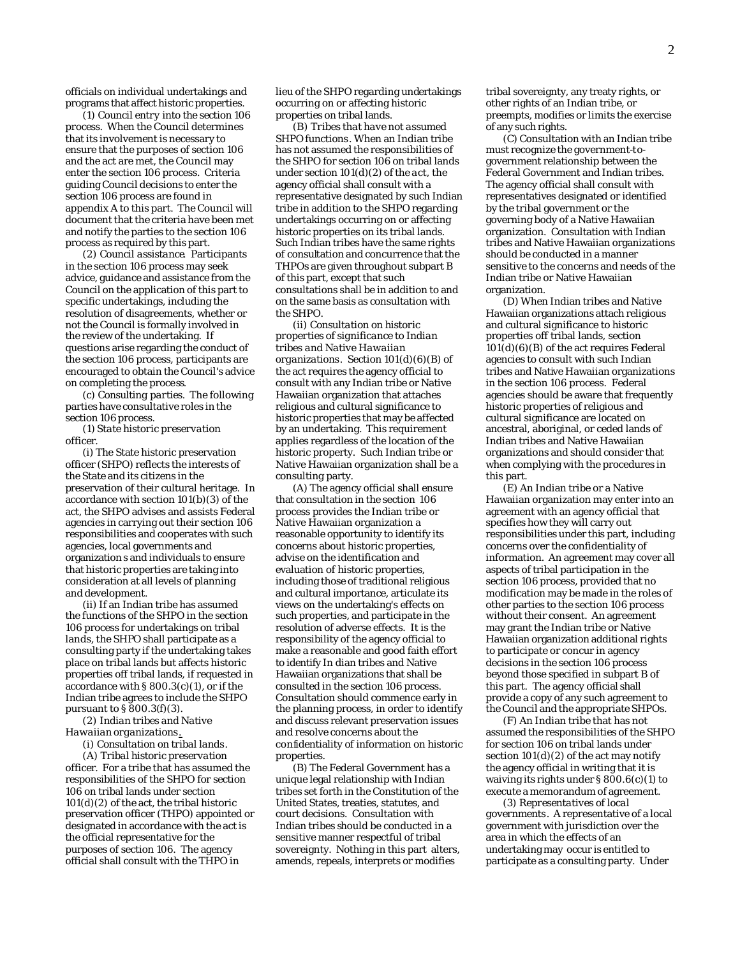officials on individual undertakings and programs that affect historic properties.

(1) *Council entry into the section 106 process*. When the Council determines that its involvement is necessary to ensure that the purposes of section 106 and the act are met, the Council may enter the section 106 process. Criteria guiding Council decisions to enter the section 106 process are found in appendix A to this part. The Council will document that the criteria have been met and notify the parties to the section 106 process as required by this part.

(2) *Council assistance*. Participants in the section 106 process may seek advice, guidance and assistance from the Council on the application of this part to specific undertakings, including the resolution of disagreements, whether or not the Council is formally involved in the review of the undertaking. If questions arise regarding the conduct of the section 106 process, participants are encouraged to obtain the Council's advice on completing the process.

(c) *Consulting parties*. The following parties have consultative roles in the section 106 process.

(1) *State historic preservation officer*.

(i) The State historic preservation officer (SHPO) reflects the interests of the State and its citizens in the preservation of their cultural heritage. In accordance with section 101(b)(3) of the act, the SHPO advises and assists Federal agencies in carrying out their section 106 responsibilities and cooperates with such agencies, local governments and organization s and individuals to ensure that historic properties are taking into consideration at all levels of planning and development.

(ii) If an Indian tribe has assumed the functions of the SHPO in the section 106 process for undertakings on tribal lands, the SHPO shall participate as a consulting party if the undertaking takes place on tribal lands but affects historic properties off tribal lands, if requested in accordance with  $\S 800.3(c)(1)$ , or if the Indian tribe agrees to include the SHPO pursuant to  $\S$  800.3(f)(3).

(2) *Indian tribes and Native Hawaiian organizations*.

(i) *Consultation on tribal lands*.

(A) *Tribal historic preservation officer*. For a tribe that has assumed the responsibilities of the SHPO for section 106 on tribal lands under section 101(d)(2) of the act, the tribal historic preservation officer (THPO) appointed or designated in accordance with the act is the official representative for the purposes of section 106. The agency official shall consult with the THPO in

lieu of the SHPO regarding undertakings occurring on or affecting historic properties on tribal lands.

(B) *Tribes that have not assumed SHPO functions* . When an Indian tribe has not assumed the responsibilities of the SHPO for section 106 on tribal lands under section 101(d)(2) of the act, the agency official shall consult with a representative designated by such Indian tribe in addition to the SHPO regarding undertakings occurring on or affecting historic properties on its tribal lands. Such Indian tribes have the same rights of consultation and concurrence that the THPOs are given throughout subpart B of this part, except that such consultations shall be in addition to and on the same basis as consultation with the SHPO.

(ii) *Consultation on historic properties of significance to Indian tribes and Native Hawaiian organizations*. Section 101(d)(6)(B) of the act requires the agency official to consult with any Indian tribe or Native Hawaiian organization that attaches religious and cultural significance to historic properties that may be affected by an undertaking. This requirement applies regardless of the location of the historic property. Such Indian tribe or Native Hawaiian organization shall be a consulting party.

(A) The agency official shall ensure that consultation in the section 106 process provides the Indian tribe or Native Hawaiian organization a reasonable opportunity to identify its concerns about historic properties, advise on the identification and evaluation of historic properties, including those of traditional religious and cultural importance, articulate its views on the undertaking's effects on such properties, and participate in the resolution of adverse effects. It is the responsibility of the agency official to make a reasonable and good faith effort to identify In dian tribes and Native Hawaiian organizations that shall be consulted in the section 106 process. Consultation should commence early in the planning process, in order to identify and discuss relevant preservation issues and resolve concerns about the confidentiality of information on historic properties.

(B) The Federal Government has a unique legal relationship with Indian tribes set forth in the Constitution of the United States, treaties, statutes, and court decisions. Consultation with Indian tribes should be conducted in a sensitive manner respectful of tribal sovereignty. Nothing in this part alters, amends, repeals, interprets or modifies

tribal sovereignty, any treaty rights, or other rights of an Indian tribe, or preempts, modifies or limits the exercise of any such rights.

(C) Consultation with an Indian tribe must recognize the government-togovernment relationship between the Federal Government and Indian tribes. The agency official shall consult with representatives designated or identified by the tribal government or the governing body of a Native Hawaiian organization. Consultation with Indian tribes and Native Hawaiian organizations should be conducted in a manner sensitive to the concerns and needs of the Indian tribe or Native Hawaiian organization.

(D) When Indian tribes and Native Hawaiian organizations attach religious and cultural significance to historic properties off tribal lands, section 101(d)(6)(B) of the act requires Federal agencies to consult with such Indian tribes and Native Hawaiian organizations in the section 106 process. Federal agencies should be aware that frequently historic properties of religious and cultural significance are located on ancestral, aboriginal, or ceded lands of Indian tribes and Native Hawaiian organizations and should consider that when complying with the procedures in this part.

(E) An Indian tribe or a Native Hawaiian organization may enter into an agreement with an agency official that specifies how they will carry out responsibilities under this part, including concerns over the confidentiality of information. An agreement may cover all aspects of tribal participation in the section 106 process, provided that no modification may be made in the roles of other parties to the section 106 process without their consent. An agreement may grant the Indian tribe or Native Hawaiian organization additional rights to participate or concur in agency decisions in the section 106 process beyond those specified in subpart B of this part. The agency official shall provide a copy of any such agreement to the Council and the appropriate SHPOs.

(F) An Indian tribe that has not assumed the responsibilities of the SHPO for section 106 on tribal lands under section  $101(d)(2)$  of the act may notify the agency official in writing that it is waiving its rights under  $\S 800.6(c)(1)$  to execute a memorandum of agreement.

(3) *Representatives of local governments*. A representative of a local government with jurisdiction over the area in which the effects of an undertaking may occur is entitled to participate as a consulting party. Under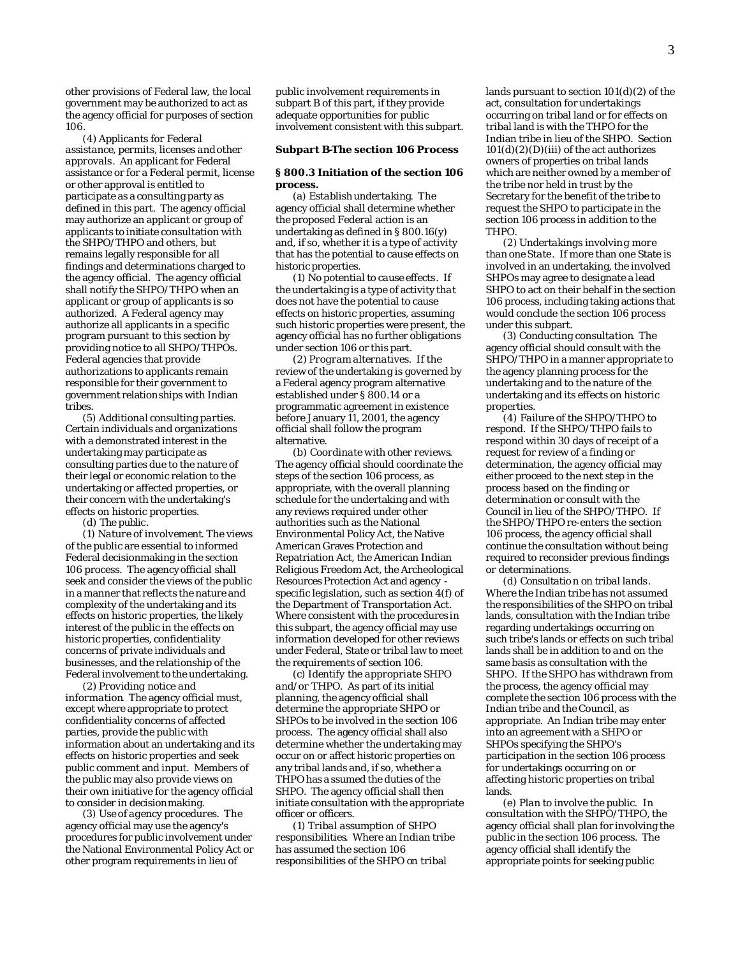other provisions of Federal law, the local government may be authorized to act as the agency official for purposes of section 106.

(4) *Applicants for Federal assistance, permits, licenses and other approvals*. An applicant for Federal assistance or for a Federal permit, license or other approval is entitled to participate as a consulting party as defined in this part. The agency official may authorize an applicant or group of applicants to initiate consultation with the SHPO/THPO and others, but remains legally responsible for all findings and determinations charged to the agency official. The agency official shall notify the SHPO/THPO when an applicant or group of applicants is so authorized. A Federal agency may authorize all applicants in a specific program pursuant to this section by providing notice to all SHPO/THPOs. Federal agencies that provide authorizations to applicants remain responsible for their government to government relationships with Indian tribes.

(5) *Additional consulting parties*. Certain individuals and organizations with a demonstrated interest in the undertaking may participate as consulting parties due to the nature of their legal or economic relation to the undertaking or affected properties, or their concern with the undertaking's effects on historic properties.

(d) *The public*.

(1) *Nature of involvement*. The views of the public are essential to informed Federal decisionmaking in the section 106 process. The agency official shall seek and consider the views of the public in a manner that reflects the nature and complexity of the undertaking and its effects on historic properties, the likely interest of the public in the effects on historic properties, confidentiality concerns of private individuals and businesses, and the relationship of the Federal involvement to the undertaking.

(2) *Providing notice and information*. The agency official must, except where appropriate to protect confidentiality concerns of affected parties, provide the public with information about an undertaking and its effects on historic properties and seek public comment and input. Members of the public may also provide views on their own initiative for the agency official to consider in decisionmaking.

(3) *Use of agency procedures*. The agency official may use the agency's procedures for public involvement under the National Environmental Policy Act or other program requirements in lieu of

public involvement requirements in subpart B of this part, if they provide adequate opportunities for public involvement consistent with this subpart.

### **Subpart B-The section 106 Process**

## **§ 800.3 Initiation of the section 106 process.**

(a) *Establish undertaking*. The agency official shall determine whether the proposed Federal action is an undertaking as defined in § 800.16(y) and, if so, whether it is a type of activity that has the potential to cause effects on historic properties.

(1) *No potential to cause effects*. If the undertaking is a type of activity that does not have the potential to cause effects on historic properties, assuming such historic properties were present, the agency official has no further obligations under section 106 or this part.

(2) *Program alternatives*. If the review of the undertaking is governed by a Federal agency program alternative established under § 800.14 or a programmatic agreement in existence before January  $11$ , 2001, the agency official shall follow the program alternative.

(b) *Coordinate with other reviews*. The agency official should coordinate the steps of the section 106 process, as appropriate, with the overall planning schedule for the undertaking and with any reviews required under other authorities such as the National Environmental Policy Act, the Native American Graves Protection and Repatriation Act, the American Indian Religious Freedom Act, the Archeological Resources Protection Act and agency specific legislation, such as section 4(f) of the Department of Transportation Act. Where consistent with the procedures in this subpart, the agency official may use information developed for other reviews under Federal, State or tribal law to meet the requirements of section 106.

(c) *Identify the appropriate SHPO and/or THPO*. As part of its initial planning, the agency official shall determine the appropriate SHPO or SHPOs to be involved in the section 106 process. The agency official shall also determine whether the undertaking may occur on or affect historic properties on any tribal lands and, if so, whether a THPO has a ssumed the duties of the SHPO. The agency official shall then initiate consultation with the appropriate officer or officers.

(1) *Tribal assumption of SHPO responsibilities*. Where an Indian tribe has assumed the section 106 responsibilities of the SHPO on tribal

lands pursuant to section 101(d)(2) of the act, consultation for undertakings occurring on tribal land or for effects on tribal land is with the THPO for the Indian tribe in lieu of the SHPO. Section  $101(d)(2)(D)(iii)$  of the act authorizes owners of properties on tribal lands which are neither owned by a member of the tribe nor held in trust by the Secretary for the benefit of the tribe to request the SHPO to participate in the section 106 process in addition to the THPO.

(2) *Undertakings involving more than one State*. If more than one State is involved in an undertaking, the involved SHPOs may agree to designate a lead SHPO to act on their behalf in the section 106 process, including taking actions that would conclude the section 106 process under this subpart.

(3) *Conducting consultation*. The agency official should consult with the SHPO/THPO in a manner appropriate to the agency planning process for the undertaking and to the nature of the undertaking and its effects on historic properties.

(4) *Failure of the SHPO/THPO to respond*. If the SHPO/THPO fails to respond within 30 days of receipt of a request for review of a finding or determination, the agency official may either proceed to the next step in the process based on the finding or determination or consult with the Council in lieu of the SHPO/THPO. If the SHPO/THPO re-enters the section 106 process, the agency official shall continue the consultation without being required to reconsider previous findings or determinations.

(d) *Consultatio n on tribal lands*. Where the Indian tribe has not assumed the responsibilities of the SHPO on tribal lands, consultation with the Indian tribe regarding undertakings occurring on such tribe's lands or effects on such tribal lands shall be in addition to and on the same basis as consultation with the SHPO. If the SHPO has withdrawn from the process, the agency official may complete the section 106 process with the Indian tribe and the Council, as appropriate. An Indian tribe may enter into an agreement with a SHPO or SHPOs specifying the SHPO's participation in the section 106 process for undertakings occurring on or affecting historic properties on tribal lands.

(e) *Plan to involve the public*. In consultation with the SHPO/THPO, the agency official shall plan for involving the public in the section 106 process. The agency official shall identify the appropriate points for seeking public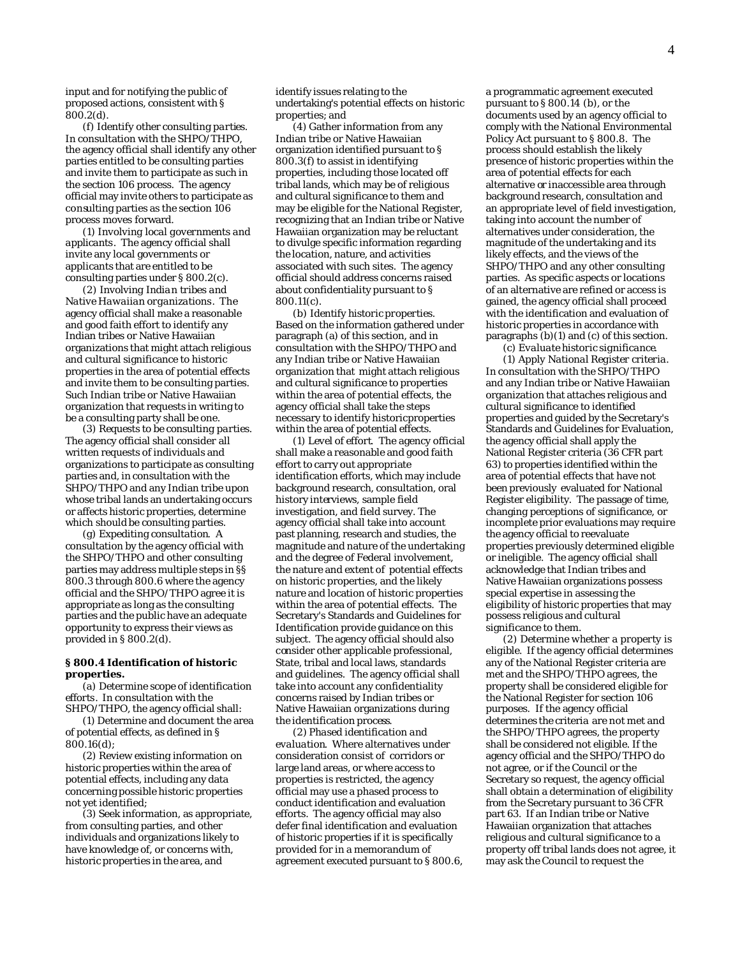input and for notifying the public of proposed actions, consistent with § 800.2(d).

(f) *Identify other consulting parties*. In consultation with the SHPO/THPO, the agency official shall identify any other parties entitled to be consulting parties and invite them to participate as such in the section 106 process. The agency official may invite others to participate as consulting parties as the section 106 process moves forward.

(1) *Involving local governments and applicants*. The agency official shall invite any local governments or applicants that are entitled to be consulting parties under § 800.2(c).

(2) *Involving Indian tribes and Native Hawaiian organizations*. The agency official shall make a reasonable and good faith effort to identify any Indian tribes or Native Hawaiian organizations that might attach religious and cultural significance to historic properties in the area of potential effects and invite them to be consulting parties. Such Indian tribe or Native Hawaiian organization that requests in writing to be a consulting party shall be one.

(3) *Requests to be consulting parties*. The agency official shall consider all written requests of individuals and organizations to participate as consulting parties and, in consultation with the SHPO/THPO and any Indian tribe upon whose tribal lands an undertaking occurs or affects historic properties, determine which should be consulting parties.

(g) *Expediting consultation*. A consultation by the agency official with the SHPO/THPO and other consulting parties may address multiple steps in §§ 800.3 through 800.6 where the agency official and the SHPO/THPO agree it is appropriate as long as the consulting parties and the public have an adequate opportunity to express their views as provided in § 800.2(d).

# **§ 800.4 Identification of historic properties.**

(a) *Determine scope of identification efforts*. In consultation with the SHPO/THPO, the agency official shall:

(1) Determine and document the area of potential effects, as defined in § 800.16(d);

(2) Review existing information on historic properties within the area of potential effects, including any data concerning possible historic properties not yet identified;

(3) Seek information, as appropriate, from consulting parties, and other individuals and organizations likely to have knowledge of, or concerns with, historic properties in the area, and

identify issues relating to the undertaking's potential effects on historic properties; and

(4) Gather information from any Indian tribe or Native Hawaiian organization identified pursuant to § 800.3(f) to assist in identifying properties, including those located off tribal lands, which may be of religious and cultural significance to them and may be eligible for the National Register, recognizing that an Indian tribe or Native Hawaiian organization may be reluctant to divulge specific information regarding the location, nature, and activities associated with such sites. The agency official should address concerns raised about confidentiality pursuant to § 800.11(c).

(b) *Identify historic properties*. Based on the information gathered under paragraph (a) of this section, and in consultation with the SHPO/THPO and any Indian tribe or Native Hawaiian organization that might attach religious and cultural significance to properties within the area of potential effects, the agency official shall take the steps necessary to identify historic properties within the area of potential effects.

(1) *Level of effort*. The agency official shall make a reasonable and good faith effort to carry out appropriate identification efforts, which may include background research, consultation, oral history interviews, sample field investigation, and field survey. The agency official shall take into account past planning, research and studies, the magnitude and nature of the undertaking and the degree of Federal involvement, the nature and extent of potential effects on historic properties, and the likely nature and location of historic properties within the area of potential effects. The Secretary's Standards and Guidelines for Identification provide guidance on this subject. The agency official should also consider other applicable professional, State, tribal and local laws, standards and guidelines. The agency official shall take into account any confidentiality concerns raised by Indian tribes or Native Hawaiian organizations during the identification process.

(2) *Phased identification and evaluation*. Where alternatives under consideration consist of corridors or large land areas, or where access to properties is restricted, the agency official may use a phased process to conduct identification and evaluation efforts. The agency official may also defer final identification and evaluation of historic properties if it is specifically provided for in a memorandum of agreement executed pursuant to § 800.6, a programmatic agreement executed pursuant to § 800.14 (b), or the documents used by an agency official to comply with the National Environmental Policy Act pursuant to § 800.8. The process should establish the likely presence of historic properties within the area of potential effects for each alternative or inaccessible area through background research, consultation and an appropriate level of field investigation, taking into account the number of alternatives under consideration, the magnitude of the undertaking and its likely effects, and the views of the SHPO/THPO and any other consulting parties. As specific aspects or locations of an alternative are refined or access is gained, the agency official shall proceed with the identification and evaluation of historic properties in accordance with paragraphs  $(b)(1)$  and  $(c)$  of this section.

(c) *Evaluate historic significance*. (1) *Apply National Register criteria*. In consultation with the SHPO/THPO and any Indian tribe or Native Hawaiian organization that attaches religious and cultural significance to identified properties and guided by the Secretary's Standards and Guidelines for Evaluation, the agency official shall apply the National Register criteria (36 CFR part 63) to properties identified within the area of potential effects that have not been previously evaluated for National Register eligibility. The passage of time, changing perceptions of significance, or incomplete prior evaluations may require the agency official to reevaluate properties previously determined eligible or ineligible. The agency official shall acknowledge that Indian tribes and Native Hawaiian organizations possess special expertise in assessing the eligibility of historic properties that may possess religious and cultural significance to them.

(2) *Determine whether a property is eligible*. If the agency official determines any of the National Register criteria are met and the SHPO/THPO agrees, the property shall be considered eligible for the National Register for section 106 purposes. If the agency official determines the criteria are not met and the SHPO/THPO agrees, the property shall be considered not eligible. If the agency official and the SHPO/THPO do not agree, or if the Council or the Secretary so request, the agency official shall obtain a determination of eligibility from the Secretary pursuant to 36 CFR part 63. If an Indian tribe or Native Hawaiian organization that attaches religious and cultural significance to a property off tribal lands does not agree, it may ask the Council to request the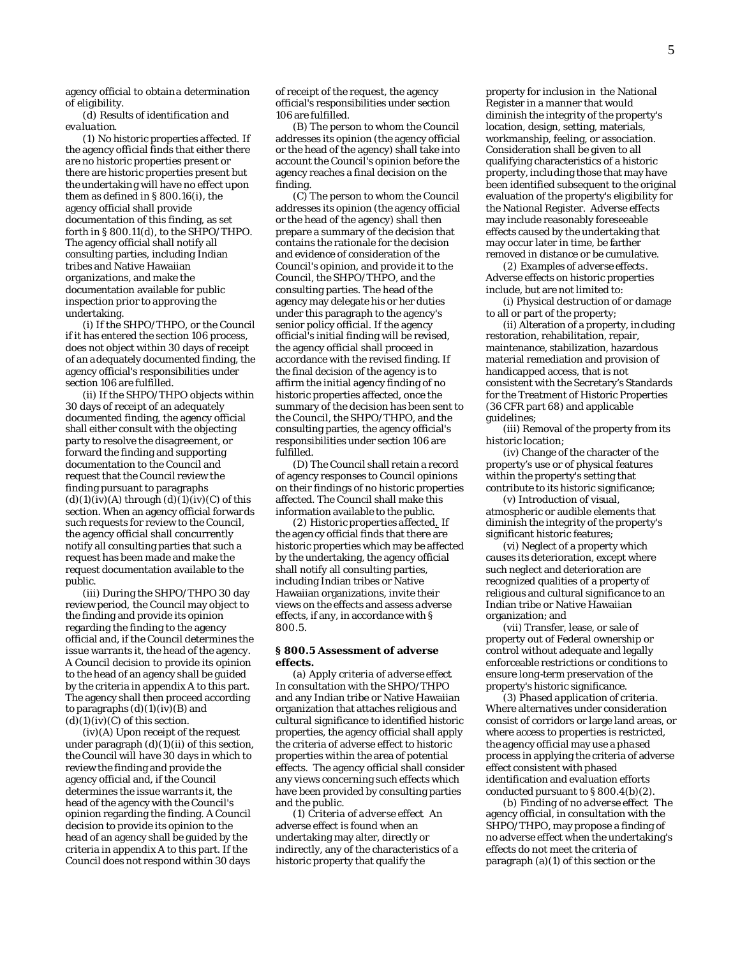agency official to obtain a determination of eligibility.

(d) *Results of identification and evaluation*.

(1) *No historic properties affected*. If the agency official finds that either there are no historic properties present or there are historic properties present but the undertaking will have no effect upon them as defined in § 800.16(i), the agency official shall provide documentation of this finding, as set forth in § 800.11(d), to the SHPO/THPO. The agency official shall notify all consulting parties, including Indian tribes and Native Hawaiian organizations, and make the documentation available for public inspection prior to approving the undertaking.

(i) If the SHPO/THPO, or the Council if it has entered the section 106 process, does not object within 30 days of receipt of an adequately documented finding, the agency official's responsibilities under section 106 are fulfilled.

(ii) If the SHPO/THPO objects within 30 days of receipt of an adequately documented finding, the agency official shall either consult with the objecting party to resolve the disagreement, or forward the finding and supporting documentation to the Council and request that the Council review the finding pursuant to paragraphs  $(d)(1)(iv)(A)$  through  $(d)(1)(iv)(C)$  of this section. When an agency official forwards such requests for review to the Council, the agency official shall concurrently notify all consulting parties that such a request has been made and make the request documentation available to the public.

(iii) During the SHPO/THPO 30 day review period, the Council may object to the finding and provide its opinion regarding the finding to the agency official and, if the Council determines the issue warrants it, the head of the agency. A Council decision to provide its opinion to the head of an agency shall be guided by the criteria in appendix A to this part. The agency shall then proceed according to paragraphs  $(d)(1)(iv)(B)$  and  $(d)(1)(iv)(C)$  of this section.

(iv)(A) Upon receipt of the request under paragraph  $(d)(1)(ii)$  of this section, the Council will have 30 days in which to review the finding and provide the agency official and, if the Council determines the issue warrants it, the head of the agency with the Council's opinion regarding the finding. A Council decision to provide its opinion to the head of an agency shall be guided by the criteria in appendix A to this part. If the Council does not respond within 30 days

of receipt of the request, the agency official's responsibilities under section 106 are fulfilled.

(B) The person to whom the Council addresses its opinion (the agency official or the head of the agency) shall take into account the Council's opinion before the agency reaches a final decision on the finding.

(C) The person to whom the Council addresses its opinion (the agency official or the head of the agency) shall then prepare a summary of the decision that contains the rationale for the decision and evidence of consideration of the Council's opinion, and provide it to the Council, the SHPO/THPO, and the consulting parties. The head of the agency may delegate his or her duties under this paragraph to the agency's senior policy official. If the agency official's initial finding will be revised, the agency official shall proceed in accordance with the revised finding. If the final decision of the agency is to affirm the initial agency finding of no historic properties affected, once the summary of the decision has been sent to the Council, the SHPO/THPO, and the consulting parties, the agency official's responsibilities under section 106 are fulfilled.

(D) The Council shall retain a record of agency responses to Council opinions on their findings of no historic properties affected. The Council shall make this information available to the public.

(2) *Historic properties affected*. If the agency official finds that there are historic properties which may be affected by the undertaking, the agency official shall notify all consulting parties, including Indian tribes or Native Hawaiian organizations, invite their views on the effects and assess adverse effects, if any, in accordance with § 800.5.

### **§ 800.5 Assessment of adverse effects.**

(a) *Apply criteria of adverse effect*. In consultation with the SHPO/THPO and any Indian tribe or Native Hawaiian organization that attaches religious and cultural significance to identified historic properties, the agency official shall apply the criteria of adverse effect to historic properties within the area of potential effects. The agency official shall consider any views concerning such effects which have been provided by consulting parties and the public.

(1) *Criteria of adverse effect*. An adverse effect is found when an undertaking may alter, directly or indirectly, any of the characteristics of a historic property that qualify the

property for inclusion in the National Register in a manner that would diminish the integrity of the property's location, design, setting, materials, workmanship, feeling, or association. Consideration shall be given to all qualifying characteristics of a historic property, including those that may have been identified subsequent to the original evaluation of the property's eligibility for the National Register. Adverse effects may include reasonably foreseeable effects caused by the undertaking that may occur later in time, be farther removed in distance or be cumulative.

(2) *Examples of adverse effects*. Adverse effects on historic properties include, but are not limited to:

(i) Physical destruction of or damage to all or part of the property;

(ii) Alteration of a property, including restoration, rehabilitation, repair, maintenance, stabilization, hazardous material remediation and provision of handicapped access, that is not consistent with the Secretary's Standards for the Treatment of Historic Properties (36 CFR part 68) and applicable guidelines;

(iii) Removal of the property from its historic location;

(iv) Change of the character of the property's use or of physical features within the property's setting that contribute to its historic significance;

(v) Introduction of visual, atmospheric or audible elements that diminish the integrity of the property's significant historic features;

(vi) Neglect of a property which causes its deterioration, except where such neglect and deterioration are recognized qualities of a property of religious and cultural significance to an Indian tribe or Native Hawaiian organization; and

(vii) Transfer, lease, or sale of property out of Federal ownership or control without adequate and legally enforceable restrictions or conditions to ensure long-term preservation of the property's historic significance.

(3) *Phased application of criteria*. Where alternatives under consideration consist of corridors or large land areas, or where access to properties is restricted, the agency official may use a phased process in applying the criteria of adverse effect consistent with phased identification and evaluation efforts conducted pursuant to  $\S 800.4(b)(2)$ .

(b) *Finding of no adverse effect*. The agency official, in consultation with the SHPO/THPO, may propose a finding of no adverse effect when the undertaking's effects do not meet the criteria of paragraph (a)(1) of this section or the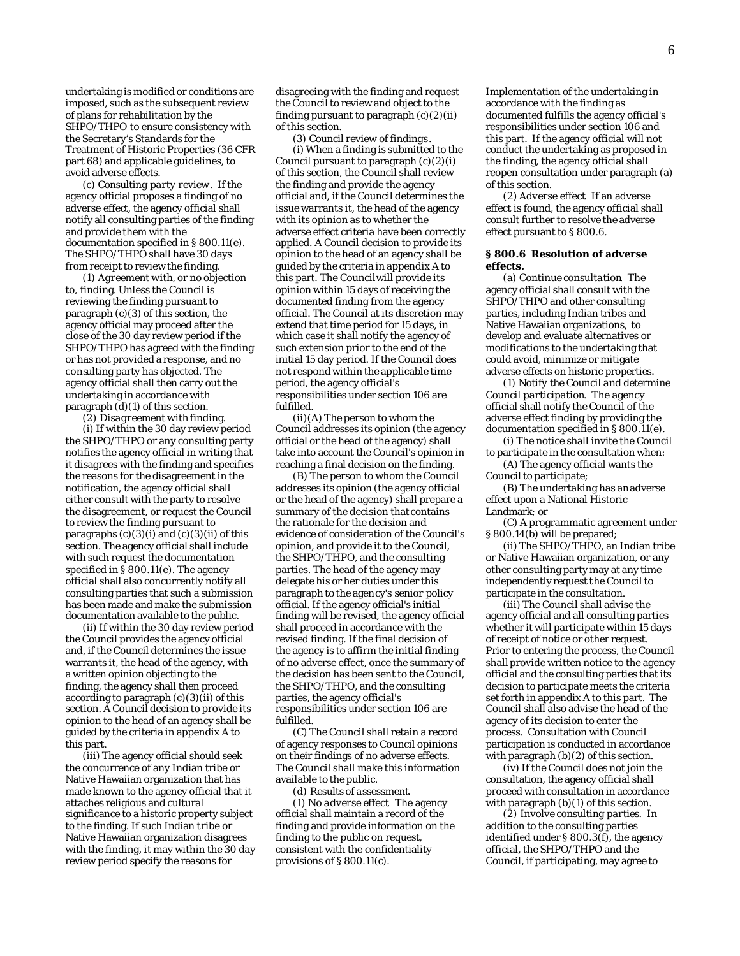undertaking is modified or conditions are imposed, such as the subsequent review of plans for rehabilitation by the SHPO/THPO to ensure consistency with the Secretary's Standards for the Treatment of Historic Properties (36 CFR part 68) and applicable guidelines, to avoid adverse effects.

(c) *Consulting party review*. If the agency official proposes a finding of no adverse effect, the agency official shall notify all consulting parties of the finding and provide them with the documentation specified in § 800.11(e). The SHPO/THPO shall have 30 days from receipt to review the finding.

(1) *Agreement with, or no objection to, finding*. Unless the Council is reviewing the finding pursuant to paragraph (c)(3) of this section, the agency official may proceed after the close of the 30 day review period if the SHPO/THPO has agreed with the finding or has not provided a response, and no consulting party has objected. The agency official shall then carry out the undertaking in accordance with paragraph (d)(1) of this section.

(2) *Disagreement with finding*.

(i) If within the 30 day review period the SHPO/THPO or any consulting party notifies the agency official in writing that it disagrees with the finding and specifies the reasons for the disagreement in the notification, the agency official shall either consult with the party to resolve the disagreement, or request the Council to review the finding pursuant to paragraphs  $(c)(3)(i)$  and  $(c)(3)(ii)$  of this section. The agency official shall include with such request the documentation specified in § 800.11(e). The agency official shall also concurrently notify all consulting parties that such a submission has been made and make the submission documentation available to the public.

(ii) If within the 30 day review period the Council provides the agency official and, if the Council determines the issue warrants it, the head of the agency, with a written opinion objecting to the finding, the agency shall then proceed according to paragraph  $(c)(3)(ii)$  of this section. A Council decision to provide its opinion to the head of an agency shall be guided by the criteria in appendix A to this part.

(iii) The agency official should seek the concurrence of any Indian tribe or Native Hawaiian organization that has made known to the agency official that it attaches religious and cultural significance to a historic property subject to the finding. If such Indian tribe or Native Hawaiian organization disagrees with the finding, it may within the 30 day review period specify the reasons for

disagreeing with the finding and request the Council to review and object to the finding pursuant to paragraph  $(c)(2)(ii)$ of this section.

(3) *Council review of findings*. (i) When a finding is submitted to the Council pursuant to paragraph  $(c)(2)(i)$ of this section, the Council shall review the finding and provide the agency official and, if the Council determines the issue warrants it, the head of the agency with its opinion as to whether the adverse effect criteria have been correctly applied. A Council decision to provide its opinion to the head of an agency shall be guided by the criteria in appendix A to this part. The Council will provide its opinion within 15 days of receiving the documented finding from the agency official. The Council at its discretion may extend that time period for 15 days, in which case it shall notify the agency of such extension prior to the end of the initial 15 day period. If the Council does not respond within the applicable time period, the agency official's responsibilities under section 106 are fulfilled.

(ii)(A) The person to whom the Council addresses its opinion (the agency official or the head of the agency) shall take into account the Council's opinion in reaching a final decision on the finding.

(B) The person to whom the Council addresses its opinion (the agency official or the head of the agency) shall prepare a summary of the decision that contains the rationale for the decision and evidence of consideration of the Council's opinion, and provide it to the Council, the SHPO/THPO, and the consulting parties. The head of the agency may delegate his or her duties under this paragraph to the agency's senior policy official. If the agency official's initial finding will be revised, the agency official shall proceed in accordance with the revised finding. If the final decision of the agency is to affirm the initial finding of no adverse effect, once the summary of the decision has been sent to the Council, the SHPO/THPO, and the consulting parties, the agency official's responsibilities under section 106 are fulfilled.

(C) The Council shall retain a record of agency responses to Council opinions on their findings of no adverse effects. The Council shall make this information available to the public.

(d) *Results of assessment*.

(1) *No adverse effect*. The agency official shall maintain a record of the finding and provide information on the finding to the public on request, consistent with the confidentiality provisions of § 800.11(c).

Implementation of the undertaking in accordance with the finding as documented fulfills the agency official's responsibilities under section 106 and this part. If the agency official will not conduct the undertaking as proposed in the finding, the agency official shall reopen consultation under paragraph (a) of this section.

(2) *Adverse effect*. If an adverse effect is found, the agency official shall consult further to resolve the adverse effect pursuant to § 800.6.

### **§ 800.6 Resolution of adverse effects.**

(a) *Continue consultation*. The agency official shall consult with the SHPO/THPO and other consulting parties, including Indian tribes and Native Hawaiian organizations, to develop and evaluate alternatives or modifications to the undertaking that could avoid, minimize or mitigate adverse effects on historic properties.

(1) *Notify the Council and determine Council participation*. The agency official shall notify the Council of the adverse effect finding by providing the documentation specified in § 800.11(e).

(i) The notice shall invite the Council to participate in the consultation when:

(A) The agency official wants the Council to participate;

(B) The undertaking has an adverse effect upon a National Historic Landmark; or

(C) A programmatic agreement under § 800.14(b) will be prepared;

(ii) The SHPO/THPO, an Indian tribe or Native Hawaiian organization, or any other consulting party may at any time independently request the Council to participate in the consultation.

(iii) The Council shall advise the agency official and all consulting parties whether it will participate within 15 days of receipt of notice or other request. Prior to entering the process, the Council shall provide written notice to the agency official and the consulting parties that its decision to participate meets the criteria set forth in appendix A to this part. The Council shall also advise the head of the agency of its decision to enter the process. Consultation with Council participation is conducted in accordance with paragraph (b)(2) of this section.

(iv) If the Council does not join the consultation, the agency official shall proceed with consultation in accordance with paragraph (b)(1) of this section.

(2) *Involve consulting parties*. In addition to the consulting parties identified under § 800.3(f), the agency official, the SHPO/THPO and the Council, if participating, may agree to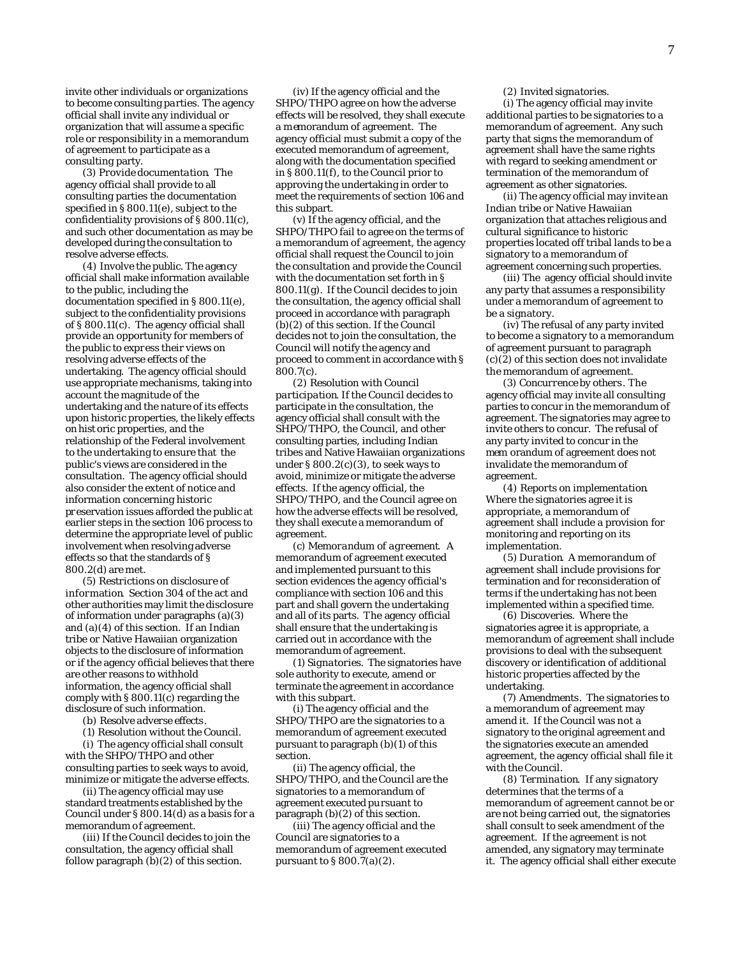invite other individuals or organizations to become consulting parties. The agency official shall invite any individual or organization that will assume a specific role or responsibility in a memorandum of agreement to participate as a consulting party.

(3) *Provide documentation*. The agency official shall provide to all consulting parties the documentation specified in § 800.11(e), subject to the confidentiality provisions of § 800.11(c), and such other documentation as may be developed during the consultation to resolve adverse effects.

(4) *Involve the public*. The agency official shall make information available to the public, including the documentation specified in § 800.11(e), subject to the confidentiality provisions of § 800.11(c). The agency official shall provide an opportunity for members of the public to express their views on resolving adverse effects of the undertaking. The agency official should use appropriate mechanisms, taking into account the magnitude of the undertaking and the nature of its effects upon historic properties, the likely effects on hist oric properties, and the relationship of the Federal involvement to the undertaking to ensure that the public's views are considered in the consultation. The agency official should also consider the extent of notice and information concerning historic pr eservation issues afforded the public at earlier steps in the section 106 process to determine the appropriate level of public involvement when resolving adverse effects so that the standards of § 800.2(d) are met.

(5) *Restrictions on disclosure of information*. Section 304 of the act and other authorities may limit the disclosure of information under paragraphs (a)(3) and (a)(4) of this section. If an Indian tribe or Native Hawaiian organization objects to the disclosure of information or if the agency official believes that there are other reasons to withhold information, the agency official shall comply with  $\S 800.11(c)$  regarding the disclosure of such information.

(b) *Resolve adverse effects*.

(1) *Resolution without the Council*.

(i) The agency official shall consult with the SHPO/THPO and other consulting parties to seek ways to avoid, minimize or mitigate the adverse effects.

(ii) The agency official may use standard treatments established by the Council under § 800.14(d) as a basis for a memorandum of agreement.

(iii) If the Council decides to join the consultation, the agency official shall follow paragraph (b)(2) of this section.

(iv) If the agency official and the SHPO/THPO agree on how the adverse effects will be resolved, they shall execute a memorandum of agreement. The agency official must submit a copy of the executed memorandum of agreement, along with the documentation specified in § 800.11(f), to the Council prior to approving the undertaking in order to meet the requirements of section 106 and this subpart.

(v) If the agency official, and the SHPO/THPO fail to agree on the terms of a memorandum of agreement, the agency official shall request the Council to join the consultation and provide the Council with the documentation set forth in § 800.11(g). If the Council decides to join the consultation, the agency official shall proceed in accordance with paragraph  $(b)(2)$  of this section. If the Council decides not to join the consultation, the Council will notify the agency and proceed to comment in accordance with § 800.7(c).

(2) *Resolution with Council participation*. If the Council decides to participate in the consultation, the agency official shall consult with the SHPO/THPO, the Council, and other consulting parties, including Indian tribes and Native Hawaiian organizations under § 800.2(c)(3), to seek ways to avoid, minimize or mitigate the adverse effects. If the agency official, the SHPO/THPO, and the Council agree on how the adverse effects will be resolved, they shall execute a memorandum of agreement.

(c) *Memorandum of agreement*. A memorandum of agreement executed and implemented pursuant to this section evidences the agency official's compliance with section 106 and this part and shall govern the undertaking and all of its parts. The agency official shall ensure that the undertaking is carried out in accordance with the memorandum of agreement.

(1) *Signatories*. The signatories have sole authority to execute, amend or terminate the agreement in accordance with this subpart.

(i) The agency official and the SHPO/THPO are the signatories to a memorandum of agreement executed pursuant to paragraph (b)(1) of this section.

(ii) The agency official, the SHPO/THPO, and the Council are the signatories to a memorandum of agreement executed pursuant to paragraph (b)(2) of this section.

(iii) The agency official and the Council are signatories to a memorandum of agreement executed pursuant to  $\S 800.7(a)(2)$ .

(2) *Invited signatories*.

(i) The agency official may invite additional parties to be signatories to a memorandum of agreement. Any such party that signs the memorandum of agreement shall have the same rights with regard to seeking amendment or termination of the memorandum of agreement as other signatories.

(ii) The agency official may invite an Indian tribe or Native Hawaiian organization that attaches religious and cultural significance to historic properties located off tribal lands to be a signatory to a memorandum of agreement concerning such properties.

(iii) The agency official should invite any party that assumes a responsibility under a memorandum of agreement to be a signatory.

(iv) The refusal of any party invited to become a signatory to a memorandum of agreement pursuant to paragraph (c)(2) of this section does not invalidate the memorandum of agreement.

(3) *Concurrence by others*. The agency official may invite all consulting parties to concur in the memorandum of agreement. The signatories may agree to invite others to concur. The refusal of any party invited to concur in the mem orandum of agreement does not invalidate the memorandum of agreement.

(4) *Reports on implementation*. Where the signatories agree it is appropriate, a memorandum of agreement shall include a provision for monitoring and reporting on its implementation.

(5) *Duration*. A memorandum of agreement shall include provisions for termination and for reconsideration of terms if the undertaking has not been implemented within a specified time.

(6) *Discoveries*. Where the signatories agree it is appropriate, a memorandum of agreement shall include provisions to deal with the subsequent discovery or identification of additional historic properties affected by the undertaking.

(7) *Amendments*. The signatories to a memorandum of agreement may amend it. If the Council was not a signatory to the original agreement and the signatories execute an amended agreement, the agency official shall file it with the Council.

(8) *Termination*. If any signatory determines that the terms of a memorandum of agreement cannot be or are not being carried out, the signatories shall consult to seek amendment of the agreement. If the agreement is not amended, any signatory may terminate it. The agency official shall either execute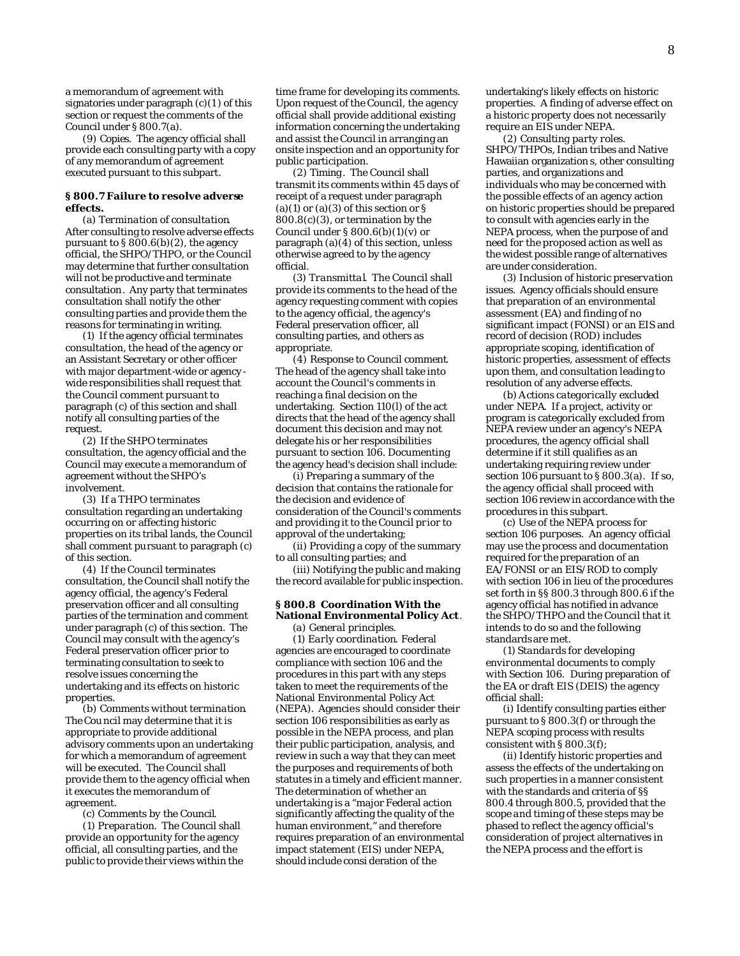a memorandum of agreement with signatories under paragraph  $(c)(1)$  of this section or request the comments of the Council under § 800.7(a).

(9) *Copies*. The agency official shall provide each consulting party with a copy of any memorandum of agreement executed pursuant to this subpart.

## **§ 800.7 Failure to resolve adverse effects.**

(a) *Termination of consultation*. After consulting to resolve adverse effects pursuant to  $\S 800.6(b)(2)$ , the agency official, the SHPO/THPO, or the Council may determine that further consultation will not be productive and terminate consultation. Any party that terminates consultation shall notify the other consulting parties and provide them the reasons for terminating in writing.

(1) If the agency official terminates consultation, the head of the agency or an Assistant Secretary or other officer with major department-wide or agency wide responsibilities shall request that the Council comment pursuant to paragraph (c) of this section and shall notify all consulting parties of the request.

(2) If the SHPO terminates consultation, the agency official and the Council may execute a memorandum of agreement without the SHPO's involvement.

(3) If a THPO terminates consultation regarding an undertaking occurring on or affecting historic properties on its tribal lands, the Council shall comment pursuant to paragraph (c) of this section.

(4) If the Council terminates consultation, the Council shall notify the agency official, the agency's Federal preservation officer and all consulting parties of the termination and comment under paragraph (c) of this section. The Council may consult with the agency's Federal preservation officer prior to terminating consultation to seek to resolve issues concerning the undertaking and its effects on historic properties.

(b) *Comments without termination*. The Cou ncil may determine that it is appropriate to provide additional advisory comments upon an undertaking for which a memorandum of agreement will be executed. The Council shall provide them to the agency official when it executes the memorandum of agreement.

(c) *Comments by the Council*.

(1) *Preparation*. The Council shall provide an opportunity for the agency official, all consulting parties, and the public to provide their views within the time frame for developing its comments. Upon request of the Council, the agency official shall provide additional existing information concerning the undertaking and assist the Council in arranging an onsite inspection and an opportunity for public participation.

(2) *Timing*. The Council shall transmit its comments within 45 days of receipt of a request under paragraph (a)(1) or (a)(3) of this section or  $\S$ 800.8(c)(3), or termination by the Council under  $\S$  800.6(b)(1)(v) or paragraph (a)(4) of this section, unless otherwise agreed to by the agency official.

(3) *Transmittal*. The Council shall provide its comments to the head of the agency requesting comment with copies to the agency official, the agency's Federal preservation officer, all consulting parties, and others as appropriate.

(4) *Response to Council comment*. The head of the agency shall take into account the Council's comments in reaching a final decision on the undertaking. Section 110(l) of the act directs that the head of the agency shall document this decision and may not delegate his or her responsibilities pursuant to section 106. Documenting the agency head's decision shall include:

(i) Preparing a summary of the decision that contains the rationale for the decision and evidence of consideration of the Council's comments and providing it to the Council pr ior to approval of the undertaking;

(ii) Providing a copy of the summary to all consulting parties; and

(iii) Notifying the public and making the record available for public inspection.

# **§ 800.8 Coordination With the National Environmental Policy Act**.

(a) *General principles*. (1) *Early coordination*. Federal

agencies are encouraged to coordinate compliance with section 106 and the procedures in this part with any steps taken to meet the requirements of the National Environmental Policy Act (NEPA). Agencies should consider their section 106 responsibilities as early as possible in the NEPA process, and plan their public participation, analysis, and review in such a way that they can meet the purposes and requirements of both statutes in a timely and efficient manner. The determination of whether an undertaking is a "major Federal action significantly affecting the quality of the human environment," and therefore requires preparation of an environmental impact statement (EIS) under NEPA, should include consi deration of the

undertaking's likely effects on historic properties. A finding of adverse effect on a historic property does not necessarily require an EIS under NEPA.

(2) *Consulting party roles*. SHPO/THPOs, Indian tribes and Native Hawaiian organization s, other consulting parties, and organizations and individuals who may be concerned with the possible effects of an agency action on historic properties should be prepared to consult with agencies early in the NEPA process, when the purpose of and need for the proposed action as well as the widest possible range of alternatives are under consideration.

(3) *Inclusion of historic preservation issues*. Agency officials should ensure that preparation of an environmental assessment (EA) and finding of no significant impact (FONSI) or an EIS and record of decision (ROD) includes appropriate scoping, identification of historic properties, assessment of effects upon them, and consultation leading to resolution of any adverse effects.

(b) A*ctions categorically excluded under NEPA*. If a project, activity or program is categorically excluded from NEPA review under an agency's NEPA procedures, the agency official shall determine if it still qualifies as an undertaking requiring review under section 106 pursuant to § 800.3(a). If so, the agency official shall proceed with section 106 review in accordance with the procedures in this subpart.

(c) *Use of the NEPA process for section 106 purposes*. An agency official may use the process and documentation required for the preparation of an EA/FONSI or an EIS/ROD to comply with section 106 in lieu of the procedures set forth in §§ 800.3 through 800.6 if the agency official has notified in advance the SHPO/THPO and the Council that it intends to do so and the following standards are met.

(1) *Standards for developing environmental documents to comply with Section 106*. During preparation of the EA or draft EIS (DEIS) the agency official shall:

(i) Identify consulting parties either pursuant to § 800.3(f) or through the NEPA scoping process with results consistent with § 800.3(f);

(ii) Identify historic properties and assess the effects of the undertaking on such properties in a manner consistent with the standards and criteria of §§ 800.4 through 800.5, provided that the scope and timing of these steps may be phased to reflect the agency official's consideration of project alternatives in the NEPA process and the effort is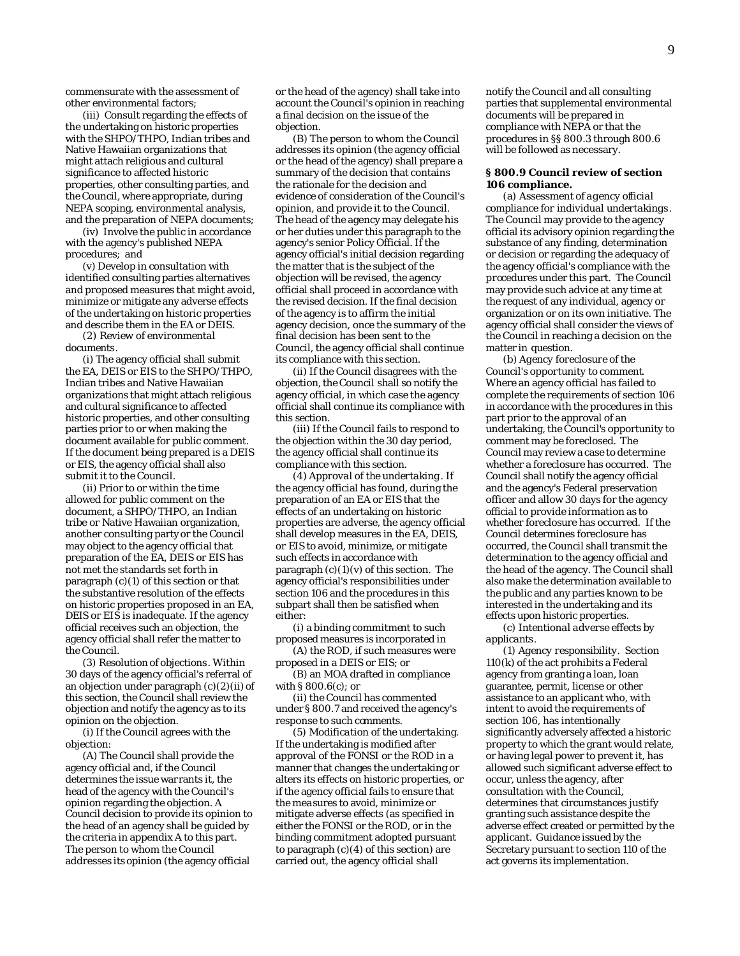commensurate with the assessment of other environmental factors;

(iii) Consult regarding the effects of the undertaking on historic properties with the SHPO/THPO, Indian tribes and Native Hawaiian organizations that might attach religious and cultural significance to affected historic properties, other consulting parties, and the Council, where appropriate, during NEPA scoping, environmental analysis, and the preparation of NEPA documents;

(iv) Involve the public in accordance with the agency's published NEPA procedures; and

(v) Develop in consultation with identified consulting parties alternatives and proposed measures that might avoid, minimize or mitigate any adverse effects of the undertaking on historic properties and describe them in the EA or DEIS.

(2) *Review of environmental documents*.

(i) The agency official shall submit the EA, DEIS or EIS to the SHPO/THPO, Indian tribes and Native Hawaiian organizations that might attach religious and cultural significance to affected historic properties, and other consulting parties prior to or when making the document available for public comment. If the document being prepared is a DEIS or EIS, the agency official shall also submit it to the Council.

(ii) Prior to or within the time allowed for public comment on the document, a SHPO/THPO, an Indian tribe or Native Hawaiian organization, another consulting party or the Council may object to the agency official that preparation of the EA, DEIS or EIS has not met the standards set forth in paragraph (c)(1) of this section or that the substantive resolution of the effects on historic properties proposed in an EA, DEIS or EIS is inadequate. If the agency official receives such an objection, the agency official shall refer the matter to the Council.

(3) *Resolution of objections*. Within 30 days of the agency official's referral of an objection under paragraph (c)(2)(ii) of this section, the Council shall review the objection and notify the agency as to its opinion on the objection.

(i) If the Council agrees with the objection:

(A) The Council shall provide the agency official and, if the Council determines the issue war rants it, the head of the agency with the Council's opinion regarding the objection. A Council decision to provide its opinion to the head of an agency shall be guided by the criteria in appendix A to this part. The person to whom the Council addresses its opinion (the agency official

or the head of the agency) shall take into account the Council's opinion in reaching a final decision on the issue of the objection.

(B) The person to whom the Council addresses its opinion (the agency official or the head of the agency) shall prepare a summary of the decision that contains the rationale for the decision and evidence of consideration of the Council's opinion, and provide it to the Council. The head of the agency may delegate his or her duties under this paragraph to the agency's senior Policy Official. If the agency official's initial decision regarding the matter that is the subject of the objection will be revised, the agency official shall proceed in accordance with the revised decision. If the final decision of the agency is to affirm the initial agency decision, once the summary of the final decision has been sent to the Council, the agency official shall continue its compliance with this section.

(ii) If the Council disagrees with the objection, the Council shall so notify the agency official, in which case the agency official shall continue its compliance with this section.

(iii) If the Council fails to respond to the objection within the 30 day period, the agency official shall continue its compliance with this section.

(4) *Approval of the undertaking*. If the agency official has found, during the preparation of an EA or EIS that the effects of an undertaking on historic properties are adverse, the agency official shall develop measures in the EA, DEIS, or EIS to avoid, minimize, or mitigate such effects in accordance with paragraph  $(c)(1)(v)$  of this section. The agency official's responsibilities under section 106 and the procedures in this subpart shall then be satisfied when either:

(i) a binding commitment to such proposed measures is incorporated in

(A) the ROD, if such measures were proposed in a DEIS or EIS; or

(B) an MOA drafted in compliance with § 800.6(c); or

(ii) the Council has commented under § 800.7 and received the agency's response to such comments.

(5) *Modification of the undertaking*. If the undertaking is modified after approval of the FONSI or the ROD in a manner that changes the undertaking or alters its effects on historic properties, or if the agency official fails to ensure that the measures to avoid, minimize or mitigate adverse effects (as specified in either the FONSI or the ROD, or in the binding commitment adopted pursuant to paragraph  $(c)(4)$  of this section) are carried out, the agency official shall

notify the Council and all consulting parties that supplemental environmental documents will be prepared in compliance with NEPA or that the procedures in §§ 800.3 through 800.6 will be followed as necessary.

## **§ 800.9 Council review of section 106 compliance.**

(a) *Assessment of agency official compliance for individual undertakings*. The Council may provide to the agency official its advisory opinion regarding the substance of any finding, determination or decision or regarding the adequacy of the agency official's compliance with the procedures under this part. The Council may provide such advice at any time at the request of any individual, agency or organization or on its own initiative. The agency official shall consider the views of the Council in reaching a decision on the matter in question.

(b) *Agency foreclosure of the Council's opportunity to comment*. Where an agency official has failed to complete the requirements of section 106 in accordance with the procedures in this part prior to the approval of an undertaking, the Council's opportunity to comment may be foreclosed. The Council may review a case to determine whether a foreclosure has occurred. The Council shall notify the agency official and the agency's Federal preservation officer and allow 30 days for the agency official to provide information as to whether foreclosure has occurred. If the Council determines foreclosure has occurred, the Council shall transmit the determination to the agency official and the head of the agency. The Council shall also make the determination available to the public and any parties known to be interested in the undertaking and its effects upon historic properties.

(c) *Intentional adverse effects by applicants*.

(1) *Agency responsibility*. Section 110(k) of the act prohibits a Federal agency from granting a loan, loan guarantee, permit, license or other assistance to an applicant who, with intent to avoid the requirements of section 106, has intentionally significantly adversely affected a historic property to which the grant would relate, or having legal power to prevent it, has allowed such significant adverse effect to occur, unless the agency, after consultation with the Council, determines that circumstances justify granting such assistance despite the adverse effect created or permitted by the applicant. Guidance issued by the Secretary pursuant to section 110 of the act governs its implementation.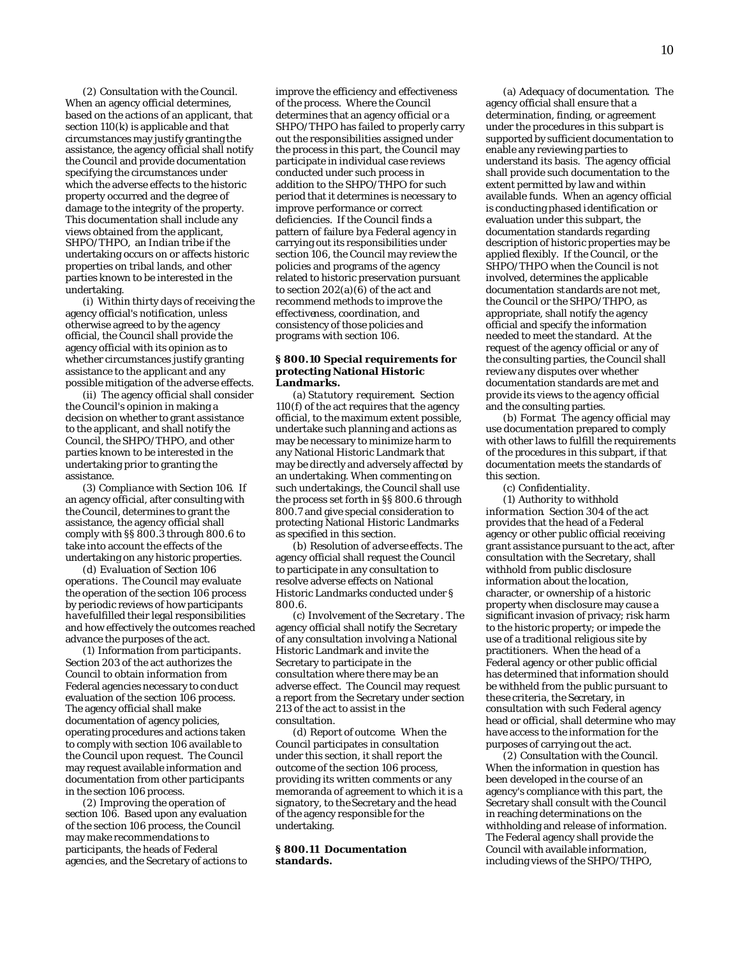(2) *Consultation with the Council*. When an agency official determines, based on the actions of an applicant, that section 110(k) is applicable and that circumstances may justify granting the assistance, the agency official shall notify the Council and provide documentation specifying the circumstances under which the adverse effects to the historic property occurred and the degree of damage to the integrity of the property. This documentation shall include any views obtained from the applicant, SHPO/THPO, an Indian tribe if the undertaking occurs on or affects historic properties on tribal lands, and other parties known to be interested in the undertaking.

(i) Within thirty days of receiving the agency official's notification, unless otherwise agreed to by the agency official, the Council shall provide the agency official with its opinion as to whether circumstances justify granting assistance to the applicant and any possible mitigation of the adverse effects.

(ii) The agency official shall consider the Council's opinion in making a decision on whether to grant assistance to the applicant, and shall notify the Council, the SHPO/THPO, and other parties known to be interested in the undertaking prior to granting the assistance.

(3) *Compliance with Section 106*. If an agency official, after consulting with the Council, determines to grant the assistance, the agency official shall comply with §§ 800.3 through 800.6 to take into account the effects of the undertaking on any historic properties.

(d) *Evaluation of Section 106 operations*. The Council may evaluate the operation of the section 106 process by periodic reviews of how participants have fulfilled their legal responsibilities and how effectively the outcomes reached advance the purposes of the act.

(1) *Information from participants*. Section 203 of the act authorizes the Council to obtain information from Federal agencies necessary to conduct evaluation of the section 106 process. The agency official shall make documentation of agency policies, operating procedures and actions taken to comply with section 106 available to the Council upon request. The Council may request available information and documentation from other participants in the section 106 process.

(2) *Improving the operation of section 106*. Based upon any evaluation of the section 106 process, the Council may make recommendations to participants, the heads of Federal agencies, and the Secretary of actions to

improve the efficiency and effectiveness of the process. Where the Council determines that an agency official or a SHPO/THPO has failed to properly carry out the responsibilities assigned under the process in this part, the Council may participate in individual case reviews conducted under such process in addition to the SHPO/THPO for such period that it determines is necessary to improve performance or correct deficiencies. If the Council finds a pattern of failure by a Federal agency in carrying out its responsibilities under section 106, the Council may review the policies and programs of the agency related to historic preservation pursuant to section  $202(a)(6)$  of the act and recommend methods to improve the effectiveness, coordination, and consistency of those policies and programs with section 106.

## **§ 800.10 Special requirements for protecting National Historic Landmarks.**

(a) *Statutory requirement*. Section 110(f) of the act requires that the agency official, to the maximum extent possible, undertake such planning and actions as may be necessary to minimize harm to any National Historic Landmark that may be directly and adversely affected by an undertaking. When commenting on such undertakings, the Council shall use the process set forth in §§ 800.6 through 800.7 and give special consideration to protecting National Historic Landmarks as specified in this section.

(b) *Resolution of adverse effects*. The agency official shall request the Council to participate in any consultation to resolve adverse effects on National Historic Landmarks conducted under § 800.6.

(c) *Involvement of the Secretary*. The agency official shall notify the Secretary of any consultation involving a National Historic Landmark and invite the Secretary to participate in the consultation where there may be an adverse effect. The Council may request a report from the Secretary under section 213 of the act to assist in the consultation.

(d) *Report of outcome*. When the Council participates in consultation under this section, it shall report the outcome of the section 106 process, providing its written comments or any memoranda of agreement to which it is a signatory, to the Secretary and the head of the agency responsible for the undertaking.

## **§ 800.11 Documentation standards.**

(a) *Adequacy of documentation*. The agency official shall ensure that a determination, finding, or agreement under the procedures in this subpart is supported by sufficient documentation to enable any reviewing parties to understand its basis. The agency official shall provide such documentation to the extent permitted by law and within available funds. When an agency official is conducting phased identification or evaluation under this subpart, the documentation standards regarding description of historic properties may be applied flexibly. If the Council, or the SHPO/THPO when the Council is not involved, determines the applicable documentation standards are not met, the Council or the SHPO/THPO, as appropriate, shall notify the agency official and specify the information needed to meet the standard. At the request of the agency official or any of the consulting parties, the Council shall review any disputes over whether documentation standards are met and provide its views to the agency official and the consulting parties.

(b) *Format*. The agency official may use documentation prepared to comply with other laws to fulfill the requirements of the procedures in this subpart, if that documentation meets the standards of this section.

(c) *Confidentiality*.

(1) *Authority to withhold information*. Section 304 of the act provides that the head of a Federal agency or other public official receiving grant assistance pursuant to the act, after consultation with the Secretary, shall withhold from public disclosure information about the location, character, or ownership of a historic property when disclosure may cause a significant invasion of privacy; risk harm to the historic property; or impede the use of a traditional religious site by practitioners. When the head of a Federal agency or other public official has determined that information should be withheld from the public pursuant to these criteria, the Secretary, in consultation with such Federal agency head or official, shall determine who may have access to the information for the purposes of carrying out the act.

(2) *Consultation with the Council*. When the information in question has been developed in the course of an agency's compliance with this part, the Secretary shall consult with the Council in reaching determinations on the withholding and release of information. The Federal agency shall provide the Council with available information, including views of the SHPO/THPO,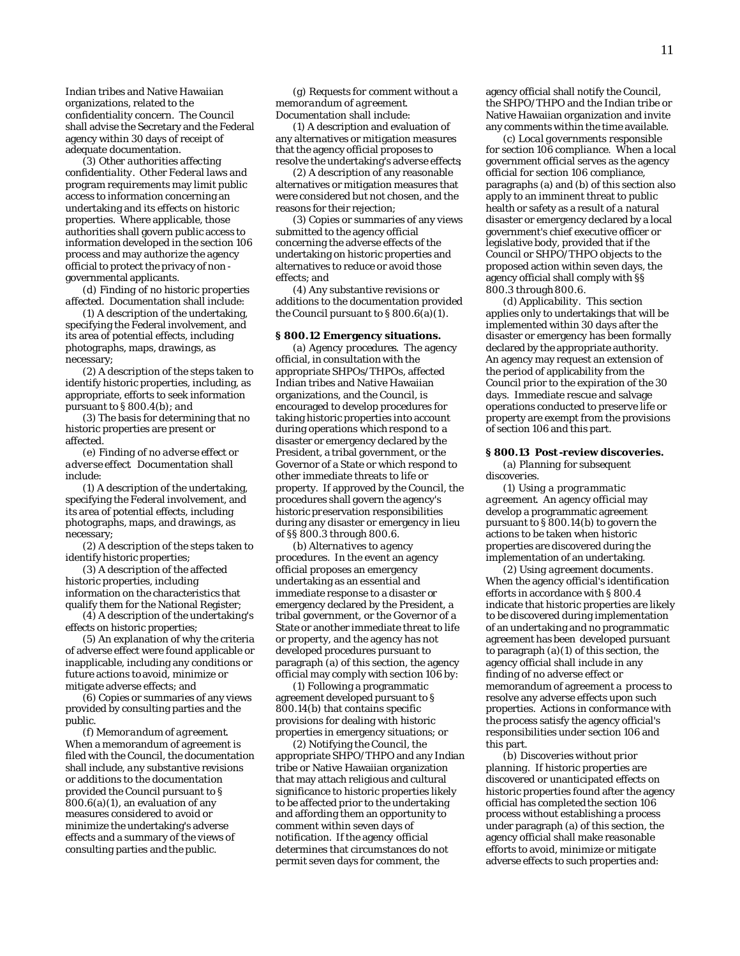Indian tribes and Native Hawaiian organizations, related to the confidentiality concern. The Council shall advise the Secretary and the Federal agency within 30 days of receipt of adequate documentation.

(3) *Other authorities affecting confidentiality*. Other Federal laws and program requirements may limit public access to information concerning an undertaking and its effects on historic properties. Where applicable, those authorities shall govern public access to information developed in the section 106 process and may authorize the agency official to protect the privacy of non governmental applicants.

(d) *Finding of no historic properties affected*. Documentation shall include:

(1) A description of the undertaking, specifying the Federal involvement, and its area of potential effects, including photographs, maps, drawings, as necessary;

(2) A description of the steps taken to identify historic properties, including, as appropriate, efforts to seek information pursuant to § 800.4(b); and

(3) The basis for determining that no historic properties are present or affected.

(e) *Finding of no adverse effect or adverse effect*. Documentation shall include:

(1) A description of the undertaking, specifying the Federal involvement, and its area of potential effects, including photographs, maps, and drawings, as necessary;

(2) A description of the steps taken to identify historic properties;

(3) A description of the affected historic properties, including information on the characteristics that qualify them for the National Register;

(4) A description of the undertaking's effects on historic properties;

(5) An explanation of why the criteria of adverse effect were found applicable or inapplicable, including any conditions or future actions to avoid, minimize or mitigate adverse effects; and

(6) Copies or summaries of any views provided by consulting parties and the public.

(f) *Memorandum of agreement*. When a memorandum of agreement is filed with the Council, the documentation shall include, any substantive revisions or additions to the documentation provided the Council pursuant to §  $800.6(a)(1)$ , an evaluation of any measures considered to avoid or minimize the undertaking's adverse effects and a summary of the views of consulting parties and the public.

(g) *Requests for comment without a memorandum of agreement*. Documentation shall include:

(1) A description and evaluation of any alternatives or mitigation measures that the agency official proposes to resolve the undertaking's adverse effects;

(2) A description of any reasonable alternatives or mitigation measures that were considered but not chosen, and the reasons for their rejection;

(3) Copies or summaries of any views submitted to the agency official concerning the adverse effects of the undertaking on historic properties and alternatives to reduce or avoid those effects; and

(4) Any substantive revisions or additions to the documentation provided the Council pursuant to  $\S 800.6(a)(1)$ .

## **§ 800.12 Emergency situations.**

(a) *Agency procedures*. The agency official, in consultation with the appropriate SHPOs/THPOs, affected Indian tribes and Native Hawaiian organizations, and the Council, is encouraged to develop procedures for taking historic properties into account during operations which respond to a disaster or emergency declared by the President, a tribal government, or the Governor of a State or which respond to other immediate threats to life or property. If approved by the Council, the procedures shall govern the agency's historic preservation responsibilities during any disaster or emergency in lieu of §§ 800.3 through 800.6.

(b) *Alternatives to agency procedures*. In the event an agency official proposes an emergency undertaking as an essential and immediate response to a disaster or emergency declared by the President, a tribal government, or the Governor of a State or another immediate threat to life or property, and the agency has not developed procedures pursuant to paragraph (a) of this section, the agency official may comply with section 106 by:

(1) Following a programmatic agreement developed pursuant to § 800.14(b) that contains specific provisions for dealing with historic properties in emergency situations; or

(2) Notifying the Council, the appropriate SHPO/THPO and any Indian tribe or Native Hawaiian organization that may attach religious and cultural significance to historic properties likely to be affected prior to the undertaking and affording them an opportunity to comment within seven days of notification. If the agency official determines that circumstances do not permit seven days for comment, the

agency official shall notify the Council, the SHPO/THPO and the Indian tribe or Native Hawaiian organization and invite any comments within the time available.

(c) *Local governments responsible for section 106 compliance*. When a local government official serves as the agency official for section 106 compliance, paragraphs (a) and (b) of this section also apply to an imminent threat to public health or safety as a result of a natural disaster or emergency declared by a local government's chief executive officer or legislative body, provided that if the Council or SHPO/THPO objects to the proposed action within seven days, the agency official shall comply with §§ 800.3 through 800.6.

(d) *Applicability*. This section applies only to undertakings that will be implemented within 30 days after the disaster or emergency has been formally declared by the appropriate authority. An agency may request an extension of the period of applicability from the Council prior to the expiration of the 30 days. Immediate rescue and salvage operations conducted to preserve life or property are exempt from the provisions of section 106 and this part.

## **§ 800.13 Post-review discoveries.**

(a) *Planning for subsequent discoveries*.

(1) *Using a programmatic agreement*. An agency official may develop a programmatic agreement pursuant to  $\S$  800.14(b) to govern the actions to be taken when historic properties are discovered during the implementation of an under taking.

(2) *Using agreement documents*. When the agency official's identification efforts in accordance with § 800.4 indicate that historic properties are likely to be discovered during implementation of an undertaking and no programmatic agreement has been developed pursuant to paragraph  $(a)(1)$  of this section, the agency official shall include in any finding of no adverse effect or memorandum of agreement a process to resolve any adverse effects upon such properties. Actions in conformance with the process satisfy the agency official's responsibilities under section 106 and this part.

(b) *Discoveries without prior planning*. If historic properties are discovered or unanticipated effects on historic properties found after the agency official has completed the section 106 process without establishing a process under paragraph (a) of this section, the agency official shall make reasonable efforts to avoid, minimize or mitigate adverse effects to such properties and: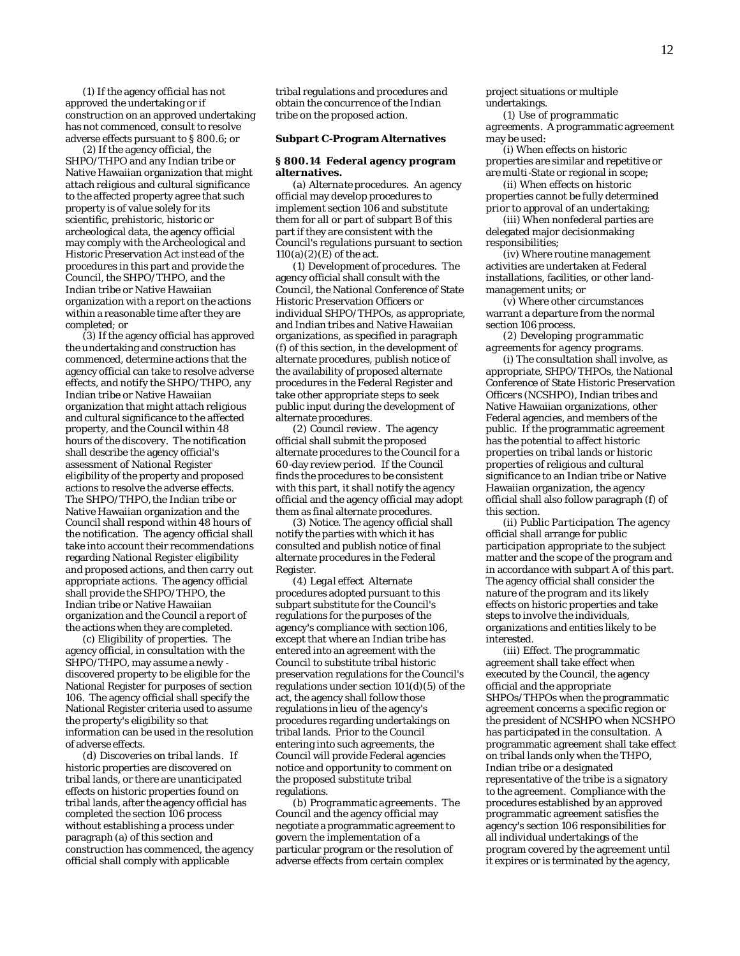(1) If the agency official has not approved the undertaking or if construction on an approved undertaking has not commenced, consult to resolve adverse effects pursuant to § 800.6; or

(2) If the agency official, the SHPO/THPO and any Indian tribe or Native Hawaiian organization that might attach religious and cultural significance to the affected property agree that such property is of value solely for its scientific, prehistoric, historic or archeological data, the agency official may comply with the Archeological and Historic Preservation Act instead of the procedures in this part and provide the Council, the SHPO/THPO, and the Indian tribe or Native Hawaiian organization with a report on the actions within a reasonable time after they are completed; or

(3) If the agency official has approved the undertaking and construction has commenced, determine actions that the agency official can take to resolve adverse effects, and notify the SHPO/THPO, any Indian tribe or Native Hawaiian organization that might attach religious and cultural significance to the affected property, and the Council within 48 hours of the discovery. The notification shall describe the agency official's assessment of National Register eligibility of the property and proposed actions to resolve the adverse effects. The SHPO/THPO, the Indian tribe or Native Hawaiian organization and the Council shall respond within 48 hours of the notification. The agency official shall take into account their recommendations regarding National Register eligibility and proposed actions, and then carry out appropriate actions. The agency official shall provide the SHPO/THPO, the Indian tribe or Native Hawaiian organization and the Council a report of the actions when they are completed.

(c) *Eligibility of properties*. The agency official, in consultation with the SHPO/THPO, may assume a newly discovered property to be eligible for the National Register for purposes of section 106. The agency official shall specify the National Register criteria used to assume the property's eligibility so that information can be used in the resolution of adverse effects.

(d) *Discoveries on tribal lands*. If historic properties are discovered on tribal lands, or there are unanticipated effects on historic properties found on tribal lands, after the agency official has completed the section 106 process without establishing a process under paragraph (a) of this section and construction has commenced, the agency official shall comply with applicable

tribal regulations and procedures and obtain the concurrence of the Indian tribe on the proposed action.

### **Subpart C-Program Alternatives**

### **§ 800.14 Federal agency program alternatives.**

(a) *Alternate procedures*. An agency official may develop procedures to implement section 106 and substitute them for all or part of subpart B of this part if they are consistent with the Council's regulations pursuant to section  $110(a)(2)(E)$  of the act.

(1) *Development of procedures*. The agency official shall consult with the Council, the National Conference of State Historic Preservation Officers or individual SHPO/THPOs, as appropriate, and Indian tribes and Native Hawaiian organizations, as specified in paragraph (f) of this section, in the development of alternate procedures, publish notice of the availability of proposed alternate procedures in the Federal Register and take other appropriate steps to seek public input during the development of alternate procedures.

(2) *Council review*. The agency official shall submit the proposed alternate procedures to the Council for a 60-day review period. If the Council finds the procedures to be consistent with this part, it shall notify the agency official and the agency official may adopt them as final alternate procedures.

(3) *Notice*. The agency official shall notify the parties with which it has consulted and publish notice of final alternate procedures in the Federal Register.

(4) *Legal effect*. Alternate procedures adopted pursuant to this subpart substitute for the Council's regulations for the purposes of the agency's compliance with section 106, except that where an Indian tribe has entered into an agreement with the Council to substitute tribal historic preservation regulations for the Council's regulations under section  $101(d)(5)$  of the act, the agency shall follow those regulations in lieu of the agency's procedures regarding undertakings on tribal lands. Prior to the Council entering into such agreements, the Council will provide Federal agencies notice and opportunity to comment on the proposed substitute tribal regulations.

(b) *Programmatic agreements* . The Council and the agency official may negotiate a programmatic agreement to govern the implementation of a particular program or the resolution of adverse effects from certain complex

project situations or multiple undertakings.

(1) *Use of programmatic agreements*. A programmatic agreement may be used:

(i) When effects on historic properties are similar and repetitive or are multi-State or regional in scope;

(ii) When effects on historic properties cannot be fully determined prior to approval of an undertaking;

(iii) When nonfederal parties are delegated major decisionmaking responsibilities;

(iv) Where routine management activities are undertaken at Federal installations, facilities, or other landmanagement units; or

(v) Where other circumstances warrant a departure from the normal section 106 process.

(2) *Developing programmatic agreements for agency programs*.

(i) The consultation shall involve, as appropriate, SHPO/THPOs, the National Conference of State Historic Preservation Officers (NCSHPO), Indian tribes and Native Hawaiian organizations, other Federal agencies, and members of the public. If the programmatic agreement has the potential to affect historic properties on tribal lands or historic properties of religious and cultural significance to an Indian tribe or Native Hawaiian organization, the agency official shall also follow paragraph (f) of this section.

(ii) *Public Participation*. The agency official shall arrange for public participation appropriate to the subject matter and the scope of the program and in accordance with subpart A of this part. The agency official shall consider the nature of the program and its likely effects on historic properties and take steps to involve the individuals, organizations and entities likely to be interested.

(iii) *Effect*. The programmatic agreement shall take effect when executed by the Council, the agency official and the appropriate SHPOs/THPOs when the programmatic agreement concerns a specific region or the president of NCSHPO when NCSHPO has participated in the consultation. A programmatic agreement shall take effect on tribal lands only when the THPO, Indian tribe or a designated representative of the tribe is a signatory to the agreement. Compliance with the procedures established by an approved programmatic agreement satisfies the agency's section 106 responsibilities for all individual undertakings of the program covered by the agreement until it expires or is terminated by the agency,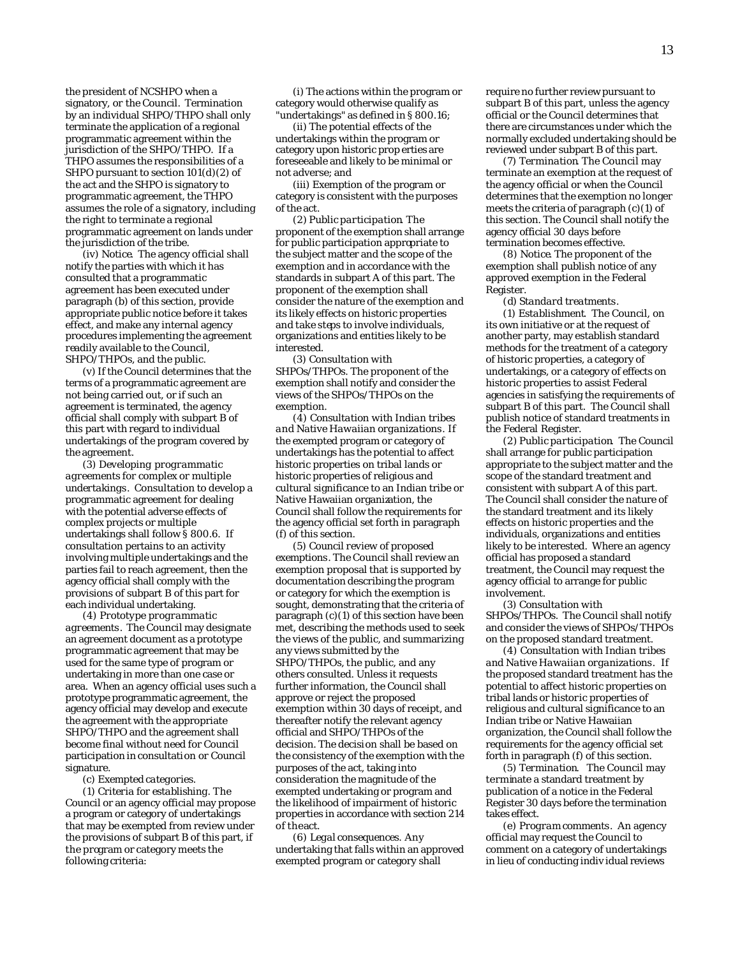the president of NCSHPO when a signatory, or the Council. Termination by an individual SHPO/THPO shall only terminate the application of a regional programmatic agreement within the jurisdiction of the SHPO/THPO. If a THPO assumes the responsibilities of a SHPO pursuant to section 101(d)(2) of the act and the SHPO is signatory to programmatic agreement, the THPO assumes the role of a signatory, including the right to terminate a regional programmatic agreement on lands under the jurisdiction of the tribe.

(iv) *Notice*. The agency official shall notify the parties with which it has consulted that a programmatic agreement has been executed under paragraph (b) of this section, provide appropriate public notice before it takes effect, and make any internal agency procedures implementing the agreement readily available to the Council, SHPO/THPOs, and the public.

(v) If the Council determines that the terms of a programmatic agreement are not being carried out, or if such an agreement is terminated, the agency official shall comply with subpart B of this part with regard to individual undertakings of the program covered by the agreement.

(3) *Developing programmatic agreements for complex or multiple undertakings*. Consultation to develop a programmatic agreement for dealing with the potential adverse effects of complex projects or multiple undertakings shall follow § 800.6. If consultation pertains to an activity involving multiple undertakings and the parties fail to reach agreement, then the agency official shall comply with the provisions of subpart B of this part for each individual undertaking.

(4) *Prototype programmatic agreements*. The Council may designate an agreement document as a prototype programmatic agreement that may be used for the same type of program or undertaking in more than one case or area. When an agency official uses such a prototype programmatic agreement, the agency official may develop and execute the agreement with the appropriate SHPO/THPO and the agreement shall become final without need for Council participation in consultation or Council signature.

(c) *Exempted categories*.

(1) *Criteria for establishing*. The Council or an agency official may propose a program or category of undertakings that may be exempted from review under the provisions of subpart B of this part, if the program or category meets the following criteria:

(i) The actions within the program or category would otherwise qualify as "undertakings" as defined in § 800.16;

(ii) The potential effects of the undertakings within the program or category upon historic prop erties are foreseeable and likely to be minimal or not adverse; and

(iii) Exemption of the program or category is consistent with the purposes of the act.

(2) *Public participation*. The proponent of the exemption shall arrange for public participation appropriate to the subject matter and the scope of the exemption and in accordance with the standards in subpart A of this part. The proponent of the exemption shall consider the nature of the exemption and its likely effects on historic properties and take steps to involve individuals, organizations and entities likely to be interested.

(3) *Consultation with SHPOs/THPOs*. The proponent of the exemption shall notify and consider the views of the SHPOs/THPOs on the exemption.

(4) *Consultation with Indian tribes and Native Hawaiian organizations*. If the exempted program or category of undertakings has the potential to affect historic properties on tribal lands or historic properties of religious and cultural significance to an Indian tribe or Native Hawaiian organization, the Council shall follow the requirements for the agency official set forth in paragraph (f) of this section.

(5) *Council review of proposed exemptions*. The Council shall review an exemption proposal that is supported by documentation describing the program or category for which the exemption is sought, demonstrating that the criteria of paragraph (c)(1) of this section have been met, describing the methods used to seek the views of the public, and summarizing any views submitted by the SHPO/THPOs, the public, and any others consulted. Unless it requests further information, the Council shall approve or reject the proposed exemption within 30 days of receipt, and thereafter notify the relevant agency official and SHPO/THPOs of the decision. The decision shall be based on the consistency of the exemption with the purposes of the act, taking into consideration the magnitude of the exempted undertaking or program and the likelihood of impairment of historic properties in accordance with section 214 of the act.

(6) *Legal consequences*. Any undertaking that falls within an approved exempted program or category shall

require no further review pursuant to subpart B of this part, unless the agency official or the Council determines that there are circumstances under which the normally excluded undertaking should be reviewed under subpart B of this part.

(7) *Termination*. The Council may terminate an exemption at the request of the agency official or when the Council determines that the exemption no longer meets the criteria of paragraph (c)(1) of this section. The Council shall notify the agency official 30 days before termination becomes effective.

(8) *Notice*. The proponent of the exemption shall publish notice of any approved exemption in the Federal Register.

(d) *Standard treatments*.

(1) *Establishment*. The Council, on its own initiative or at the request of another party, may establish standard methods for the treatment of a category of historic properties, a category of undertakings, or a category of effects on historic properties to assist Federal agencies in satisfying the requirements of subpart B of this part. The Council shall publish notice of standard treatments in the Federal Register.

(2) *Public participation*. The Council shall arrange for public participation appropriate to the subject matter and the scope of the standard treatment and consistent with subpart A of this part. The Council shall consider the nature of the standard treatment and its likely effects on historic properties and the individuals, organizations and entities likely to be interested. Where an agency official has proposed a standard treatment, the Council may request the agency official to arrange for public involvement.

(3) *Consultation with SHPOs/THPOs*. The Council shall notify and consider the views of SHPOs/THPOs on the proposed standard treatment.

(4) *Consultation with Indian tribes and Native Hawaiian organizations*. If the proposed standard treatment has the potential to affect historic properties on tribal lands or histor ic properties of religious and cultural significance to an Indian tribe or Native Hawaiian organization, the Council shall follow the requirements for the agency official set forth in paragraph (f) of this section.

(5) *Termination*. The Council may terminate a standard treatment by publication of a notice in the Federal Register 30 days before the termination takes effect.

(e) *Program comments*. An agency official may request the Council to comment on a category of undertakings in lieu of conducting indiv idual reviews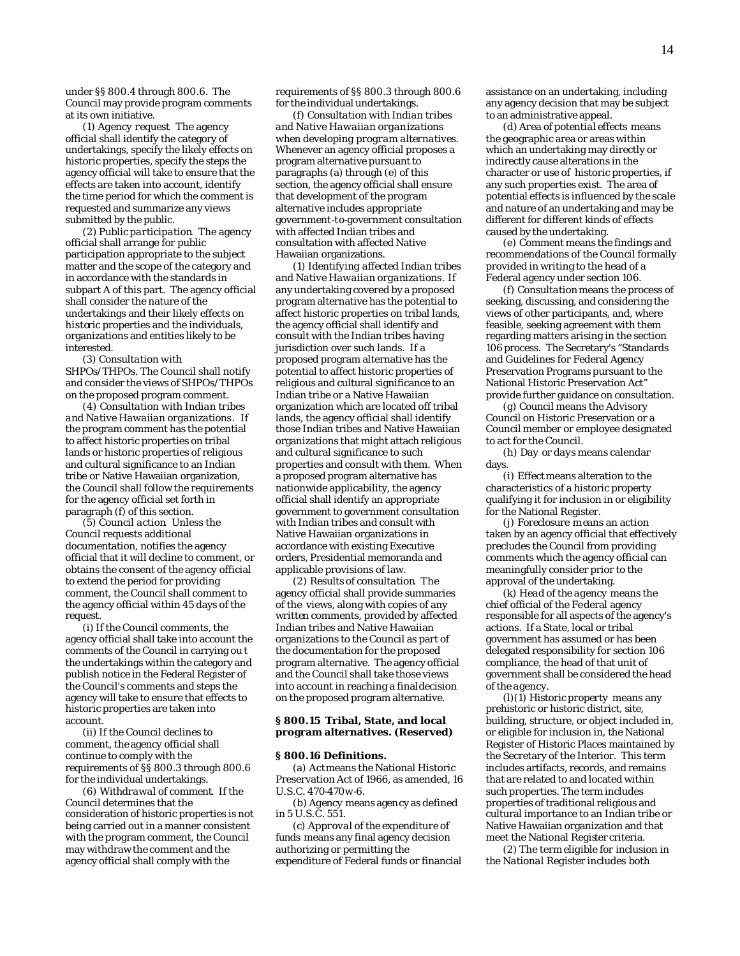under §§ 800.4 through 800.6. The Council may provide program comments at its own initiative.

(1) *Agency request*. The agency official shall identify the category of undertakings, specify the likely effects on historic properties, specify the steps the agency official will take to ensure that the effects are taken into account, identify the time period for which the comment is requested and summarize any views submitted by the public.

(2) *Public participation*. The agency official shall arrange for public participation appropriate to the subject matter and the scope of the category and in accordance with the standards in subpart A of this part. The agency official shall consider the nature of the undertakings and their likely effects on historic properties and the individuals, organizations and entities likely to be interested.

(3) *Consultation with SHPOs/THPOs*. The Council shall notify and consider the views of SHPOs/THPOs on the proposed program comment.

(4) *Consultation with Indian tribes and Native Hawaiian organizations*. If the program comment has the potential to affect historic properties on tribal lands or historic properties of religious and cultural significance to an Indian tribe or Native Hawaiian organization, the Council shall follow the requirements for the agency official set forth in paragraph (f) of this section.

(5) *Council action*. Unless the Council requests additional documentation, notifies the agency official that it will decline to comment, or obtains the consent of the agency official to extend the period for providing comment, the Council shall comment to the agency official within 45 days of the request.

(i) If the Council comments, the agency official shall take into account the comments of the Council in carrying ou t the undertakings within the category and publish notice in the Federal Register of the Council's comments and steps the agency will take to ensure that effects to historic properties are taken into account.

(ii) If the Council declines to comment, the agency official shall continue to comply with the requirements of §§ 800.3 through 800.6 for the individual undertakings.

(6) *Withdrawal of comment*. If the Council determines that the consideration of historic properties is not being carried out in a manner consistent with the program comment, the Council may withdraw the comment and the agency official shall comply with the

requirements of §§ 800.3 through 800.6 for the individual undertakings.

(f) *Consultation with Indian tribes and Native Hawaiian organizations when developing program alternatives*. Whenever an agency official proposes a program alternative pursuant to paragraphs (a) through (e) of this section, the agency official shall ensure that development of the program alternative includes appropr iate government-to-government consultation with affected Indian tribes and consultation with affected Native Hawaiian organizations.

(1) *Identifying affected Indian tribes and Native Hawaiian organizations*. If any undertaking covered by a proposed program alternative has the potential to affect historic properties on tribal lands, the agency official shall identify and consult with the Indian tribes having jurisdiction over such lands. If a proposed program alternative has the potential to affect historic properties of religious and cultural significance to an Indian tribe or a Native Hawaiian organization which are located off tribal lands, the agency official shall identify those Indian tribes and Native Hawaiian organizations that might attach religious and cultural significance to such properties and consult with them. When a proposed program alternative has nationwide applicability, the agency official shall identify an appropriate government to government consultation with Indian tribes and consult with Native Hawaiian organizations in accordance with existing Executive orders, Presidential memoranda and applicable provisions of law.

(2) *Results of consultation*. The agency official shall provide summaries of the views, along with copies of any written comments, provided by affected Indian tribes and Native Hawaiian organizations to the Council as part of the documentation for the proposed program alternative. The agency official and the Council shall take those views into account in reaching a final decision on the proposed program alternative.

# **§ 800.15 Tribal, State, and local program alternatives. (Reserved)**

#### **§ 800.16 Definitions.**

(a) *Act* means the National Historic Preservation Act of 1966, as amended, 16 U.S.C. 470-470w-6.

(b) *Agency* means agency as defined in 5 U.S.C. 551.

(c) *Approval of the expenditure of funds* means any final agency decision authorizing or permitting the expenditure of Federal funds or financial assistance on an undertaking, including any agency decision that may be subject to an administrative appeal.

(d) *Area of potential effects* means the geographic area or areas within which an undertaking may directly or indirectly cause alterations in the character or use of historic properties, if any such properties exist. The area of potential effects is influenced by the scale and nature of an undertaking and may be different for different kinds of effects caused by the undertaking.

(e) *Comment* means the findings and recommendations of the Council formally provided in writing to the head of a Federal agency under section 106.

(f) *Consultation* means the process of seeking, discussing, and considering the views of other participants, and, where feasible, seeking agreement with them regarding matters arising in the section 106 process. The Secretary's "Standards and Guidelines for Federal Agency Preservation Programs pursuant to the National Historic Preservation Act" provide further guidance on consultation.

(g) *Council* means the Advisory Council on Historic Preservation or a Council member or employee designated to act for the Council.

(h) *Day* or *days* means calendar days.

(i) *Effect* means alteration to the characteristics of a historic property qualifying it for inclusion in or eligibility for the National Register.

(j) *Foreclosure* means an action taken by an agency official that effectively precludes the Council from providing comments which the agency official can meaningfully consider prior to the approval of the undertaking.

(k) *Head of the agency* means the chief official of the Federal agency responsible for all aspects of the agency's actions. If a State, local or tribal government has assumed or has been delegated responsibility for section 106 compliance, the head of that unit of government shall be considered the head of the agency.

(l)(1) *Historic property* means any prehistoric or historic district, site, building, structure, or object included in, or eligible for inclusion in, the National Register of Historic Places maintained by the Secretary of the Interior. This term includes artifacts, records, and remains that are related to and located within such properties. The term includes properties of traditional religious and cultural importance to an Indian tribe or Native Hawaiian organization and that meet the National Register criteria.

(2) The term *eligible for inclusion in the National Register* includes both